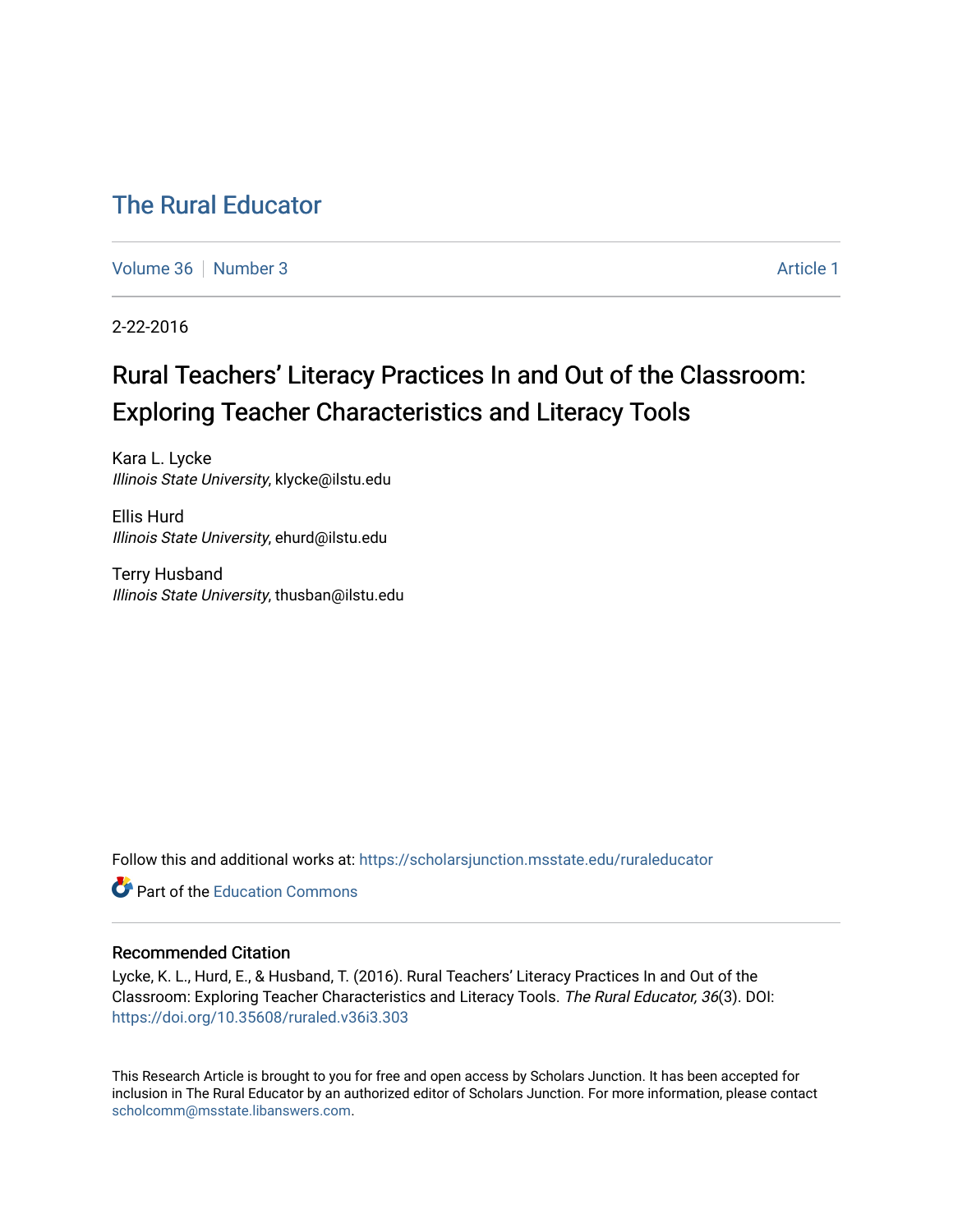# [The Rural Educator](https://scholarsjunction.msstate.edu/ruraleducator)

[Volume 36](https://scholarsjunction.msstate.edu/ruraleducator/vol36) [Number 3](https://scholarsjunction.msstate.edu/ruraleducator/vol36/iss3) Article 1

2-22-2016

# Rural Teachers' Literacy Practices In and Out of the Classroom: Exploring Teacher Characteristics and Literacy Tools

Kara L. Lycke Illinois State University, klycke@ilstu.edu

Ellis Hurd Illinois State University, ehurd@ilstu.edu

Terry Husband Illinois State University, thusban@ilstu.edu

Follow this and additional works at: [https://scholarsjunction.msstate.edu/ruraleducator](https://scholarsjunction.msstate.edu/ruraleducator?utm_source=scholarsjunction.msstate.edu%2Fruraleducator%2Fvol36%2Fiss3%2F1&utm_medium=PDF&utm_campaign=PDFCoverPages)

**C** Part of the [Education Commons](http://network.bepress.com/hgg/discipline/784?utm_source=scholarsjunction.msstate.edu%2Fruraleducator%2Fvol36%2Fiss3%2F1&utm_medium=PDF&utm_campaign=PDFCoverPages)

# Recommended Citation

Lycke, K. L., Hurd, E., & Husband, T. (2016). Rural Teachers' Literacy Practices In and Out of the Classroom: Exploring Teacher Characteristics and Literacy Tools. The Rural Educator, 36(3). DOI: <https://doi.org/10.35608/ruraled.v36i3.303>

This Research Article is brought to you for free and open access by Scholars Junction. It has been accepted for inclusion in The Rural Educator by an authorized editor of Scholars Junction. For more information, please contact [scholcomm@msstate.libanswers.com.](mailto:scholcomm@msstate.libanswers.com)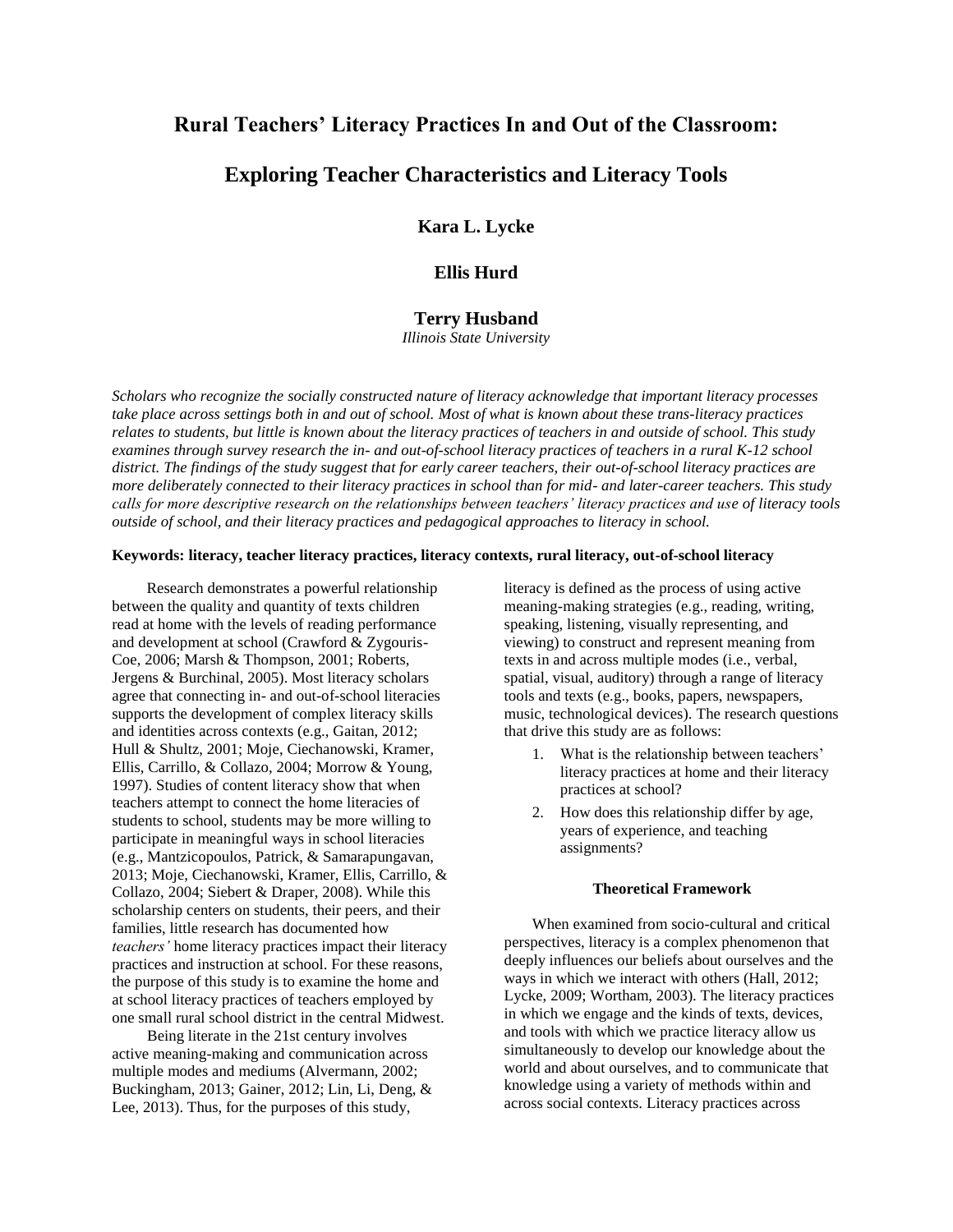# **Rural Teachers' Literacy Practices In and Out of the Classroom:**

# **Exploring Teacher Characteristics and Literacy Tools**

**Kara L. Lycke**

# **Ellis Hurd**

# **Terry Husband**

*Illinois State University*

*Scholars who recognize the socially constructed nature of literacy acknowledge that important literacy processes take place across settings both in and out of school. Most of what is known about these trans-literacy practices relates to students, but little is known about the literacy practices of teachers in and outside of school. This study examines through survey research the in- and out-of-school literacy practices of teachers in a rural K-12 school district. The findings of the study suggest that for early career teachers, their out-of-school literacy practices are more deliberately connected to their literacy practices in school than for mid- and later-career teachers. This study calls for more descriptive research on the relationships between teachers' literacy practices and use of literacy tools outside of school, and their literacy practices and pedagogical approaches to literacy in school.*

# **Keywords: literacy, teacher literacy practices, literacy contexts, rural literacy, out-of-school literacy**

Research demonstrates a powerful relationship between the quality and quantity of texts children read at home with the levels of reading performance and development at school (Crawford & Zygouris-Coe, 2006; Marsh & Thompson, 2001; Roberts, Jergens & Burchinal, 2005). Most literacy scholars agree that connecting in- and out-of-school literacies supports the development of complex literacy skills and identities across contexts (e.g., Gaitan, 2012; Hull & Shultz, 2001; Moje, Ciechanowski, Kramer, Ellis, Carrillo, & Collazo, 2004; Morrow & Young, 1997). Studies of content literacy show that when teachers attempt to connect the home literacies of students to school, students may be more willing to participate in meaningful ways in school literacies (e.g., Mantzicopoulos, Patrick, & Samarapungavan, 2013; Moje, Ciechanowski, Kramer, Ellis, Carrillo, & Collazo, 2004; Siebert & Draper, 2008). While this scholarship centers on students, their peers, and their families, little research has documented how *teachers'* home literacy practices impact their literacy practices and instruction at school. For these reasons, the purpose of this study is to examine the home and at school literacy practices of teachers employed by one small rural school district in the central Midwest.

Being literate in the 21st century involves active meaning-making and communication across multiple modes and mediums (Alvermann, 2002; Buckingham, 2013; Gainer, 2012; Lin, Li, Deng, & Lee, 2013). Thus, for the purposes of this study,

literacy is defined as the process of using active meaning-making strategies (e.g., reading, writing, speaking, listening, visually representing, and viewing) to construct and represent meaning from texts in and across multiple modes (i.e., verbal, spatial, visual, auditory) through a range of literacy tools and texts (e.g., books, papers, newspapers, music, technological devices). The research questions that drive this study are as follows:

- 1. What is the relationship between teachers' literacy practices at home and their literacy practices at school?
- 2. How does this relationship differ by age, years of experience, and teaching assignments?

#### **Theoretical Framework**

When examined from socio-cultural and critical perspectives, literacy is a complex phenomenon that deeply influences our beliefs about ourselves and the ways in which we interact with others (Hall, 2012; Lycke, 2009; Wortham, 2003). The literacy practices in which we engage and the kinds of texts, devices, and tools with which we practice literacy allow us simultaneously to develop our knowledge about the world and about ourselves, and to communicate that knowledge using a variety of methods within and across social contexts. Literacy practices across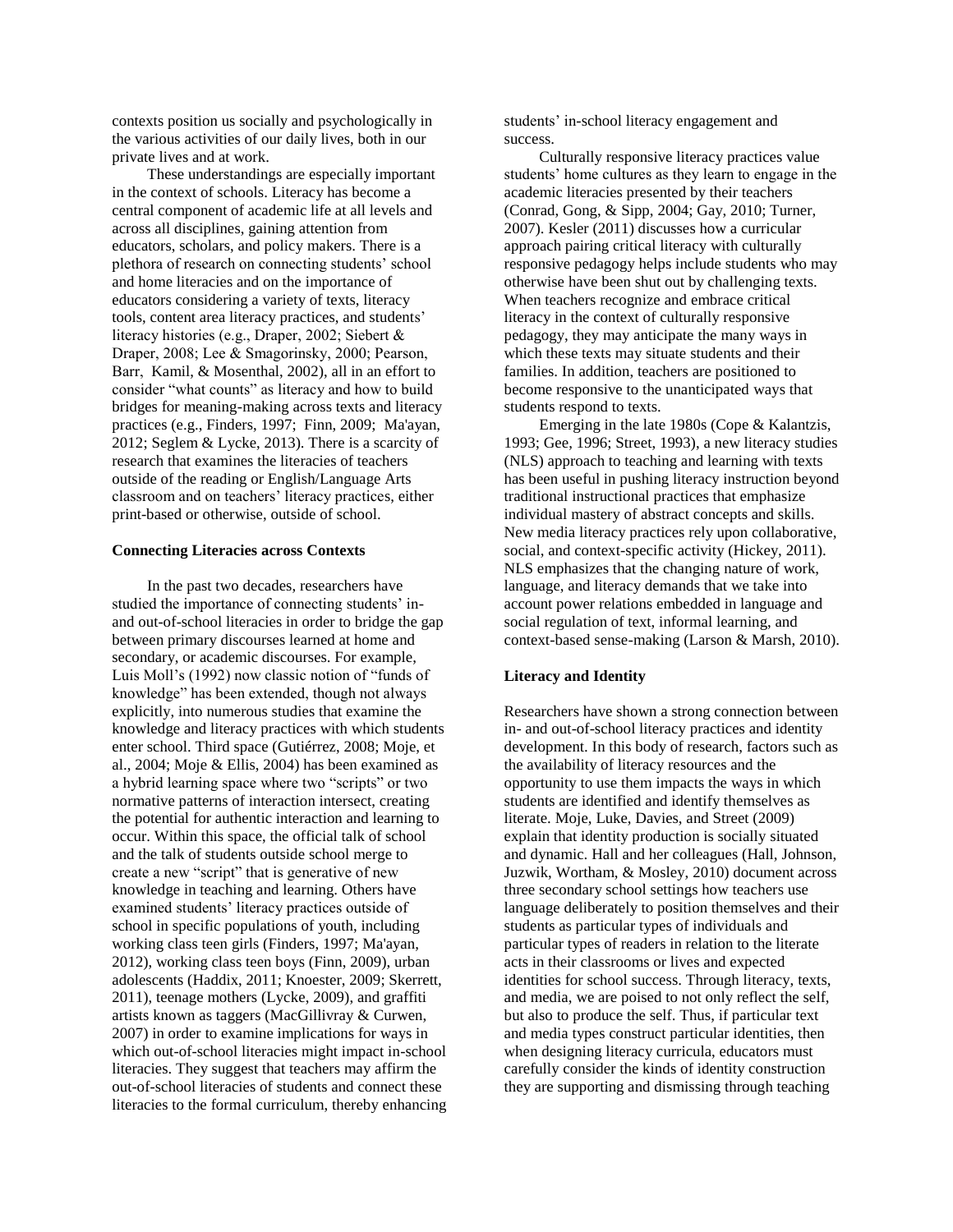contexts position us socially and psychologically in the various activities of our daily lives, both in our private lives and at work.

These understandings are especially important in the context of schools. Literacy has become a central component of academic life at all levels and across all disciplines, gaining attention from educators, scholars, and policy makers. There is a plethora of research on connecting students' school and home literacies and on the importance of educators considering a variety of texts, literacy tools, content area literacy practices, and students' literacy histories (e.g., Draper, 2002; Siebert & Draper, 2008; Lee & Smagorinsky, 2000; Pearson, Barr, Kamil, & Mosenthal, 2002), all in an effort to consider "what counts" as literacy and how to build bridges for meaning-making across texts and literacy practices (e.g., Finders, 1997; Finn, 2009; Ma'ayan, 2012; Seglem & Lycke, 2013). There is a scarcity of research that examines the literacies of teachers outside of the reading or English/Language Arts classroom and on teachers' literacy practices, either print-based or otherwise, outside of school.

#### **Connecting Literacies across Contexts**

In the past two decades, researchers have studied the importance of connecting students' inand out-of-school literacies in order to bridge the gap between primary discourses learned at home and secondary, or academic discourses. For example, Luis Moll's (1992) now classic notion of "funds of knowledge" has been extended, though not always explicitly, into numerous studies that examine the knowledge and literacy practices with which students enter school. Third space (Gutiérrez, 2008; Moje, et al., 2004; Moje & Ellis, 2004) has been examined as a hybrid learning space where two "scripts" or two normative patterns of interaction intersect, creating the potential for authentic interaction and learning to occur. Within this space, the official talk of school and the talk of students outside school merge to create a new "script" that is generative of new knowledge in teaching and learning. Others have examined students' literacy practices outside of school in specific populations of youth, including working class teen girls (Finders, 1997; Ma'ayan, 2012), working class teen boys (Finn, 2009), urban adolescents (Haddix, 2011; Knoester, 2009; Skerrett, 2011), teenage mothers (Lycke, 2009), and graffiti artists known as taggers (MacGillivray & Curwen, 2007) in order to examine implications for ways in which out-of-school literacies might impact in-school literacies. They suggest that teachers may affirm the out-of-school literacies of students and connect these literacies to the formal curriculum, thereby enhancing students' in-school literacy engagement and success.

Culturally responsive literacy practices value students' home cultures as they learn to engage in the academic literacies presented by their teachers (Conrad, Gong, & Sipp, 2004; Gay, 2010; Turner, 2007). Kesler (2011) discusses how a curricular approach pairing critical literacy with culturally responsive pedagogy helps include students who may otherwise have been shut out by challenging texts. When teachers recognize and embrace critical literacy in the context of culturally responsive pedagogy, they may anticipate the many ways in which these texts may situate students and their families. In addition, teachers are positioned to become responsive to the unanticipated ways that students respond to texts.

Emerging in the late 1980s (Cope & Kalantzis, 1993; Gee, 1996; Street, 1993), a new literacy studies (NLS) approach to teaching and learning with texts has been useful in pushing literacy instruction beyond traditional instructional practices that emphasize individual mastery of abstract concepts and skills. New media literacy practices rely upon collaborative, social, and context-specific activity (Hickey, 2011). NLS emphasizes that the changing nature of work, language, and literacy demands that we take into account power relations embedded in language and social regulation of text, informal learning, and context-based sense-making (Larson & Marsh, 2010).

#### **Literacy and Identity**

Researchers have shown a strong connection between in- and out-of-school literacy practices and identity development. In this body of research, factors such as the availability of literacy resources and the opportunity to use them impacts the ways in which students are identified and identify themselves as literate. Moje, Luke, Davies, and Street (2009) explain that identity production is socially situated and dynamic. Hall and her colleagues (Hall, Johnson, Juzwik, Wortham, & Mosley, 2010) document across three secondary school settings how teachers use language deliberately to position themselves and their students as particular types of individuals and particular types of readers in relation to the literate acts in their classrooms or lives and expected identities for school success. Through literacy, texts, and media, we are poised to not only reflect the self, but also to produce the self. Thus, if particular text and media types construct particular identities, then when designing literacy curricula, educators must carefully consider the kinds of identity construction they are supporting and dismissing through teaching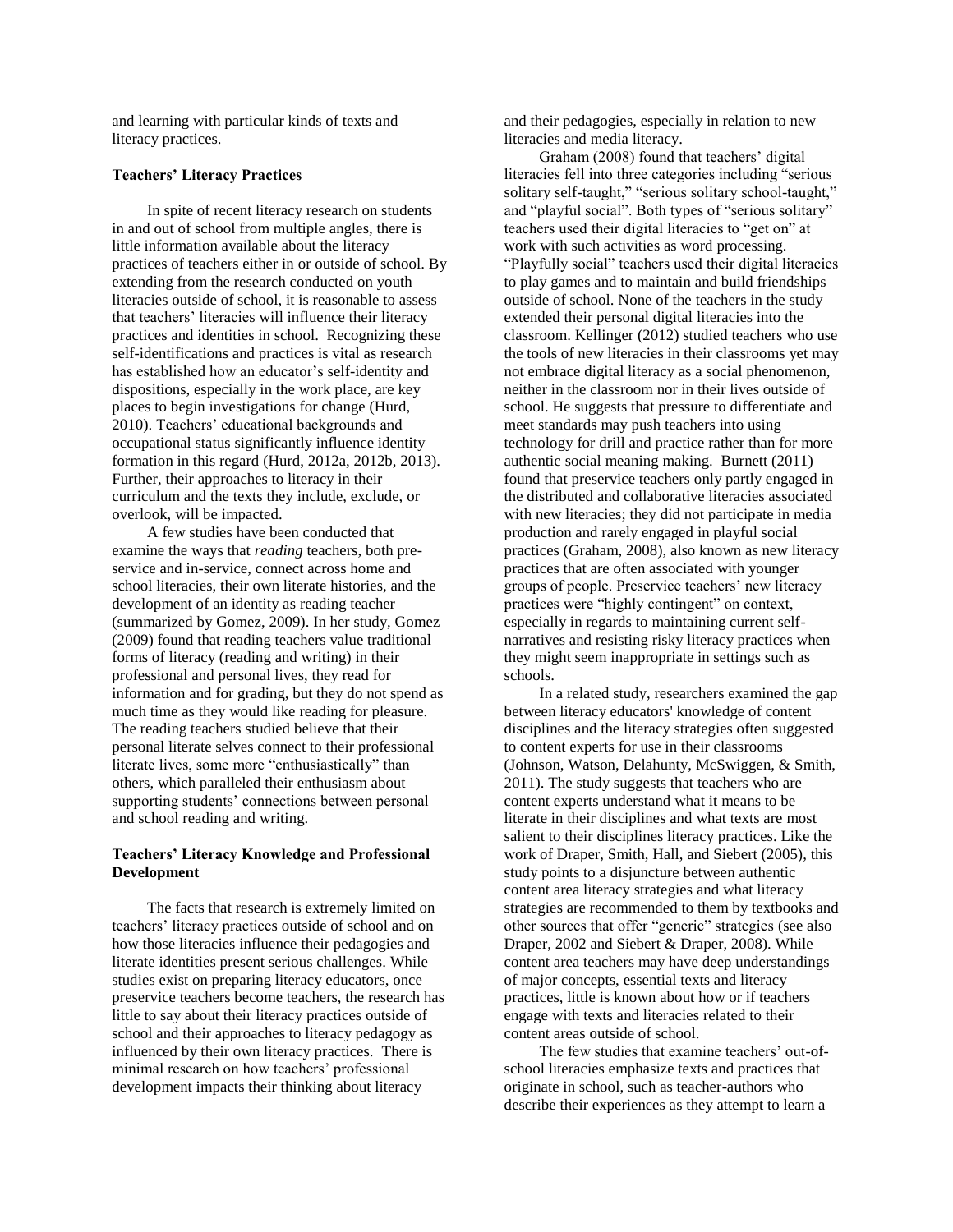and learning with particular kinds of texts and literacy practices.

# **Teachers' Literacy Practices**

In spite of recent literacy research on students in and out of school from multiple angles, there is little information available about the literacy practices of teachers either in or outside of school. By extending from the research conducted on youth literacies outside of school, it is reasonable to assess that teachers' literacies will influence their literacy practices and identities in school. Recognizing these self-identifications and practices is vital as research has established how an educator's self-identity and dispositions, especially in the work place, are key places to begin investigations for change (Hurd, 2010). Teachers' educational backgrounds and occupational status significantly influence identity formation in this regard (Hurd, 2012a, 2012b, 2013). Further, their approaches to literacy in their curriculum and the texts they include, exclude, or overlook, will be impacted.

A few studies have been conducted that examine the ways that *reading* teachers, both preservice and in-service, connect across home and school literacies, their own literate histories, and the development of an identity as reading teacher (summarized by Gomez, 2009). In her study, Gomez (2009) found that reading teachers value traditional forms of literacy (reading and writing) in their professional and personal lives, they read for information and for grading, but they do not spend as much time as they would like reading for pleasure. The reading teachers studied believe that their personal literate selves connect to their professional literate lives, some more "enthusiastically" than others, which paralleled their enthusiasm about supporting students' connections between personal and school reading and writing.

# **Teachers' Literacy Knowledge and Professional Development**

The facts that research is extremely limited on teachers' literacy practices outside of school and on how those literacies influence their pedagogies and literate identities present serious challenges. While studies exist on preparing literacy educators, once preservice teachers become teachers, the research has little to say about their literacy practices outside of school and their approaches to literacy pedagogy as influenced by their own literacy practices. There is minimal research on how teachers' professional development impacts their thinking about literacy

and their pedagogies, especially in relation to new literacies and media literacy.

Graham (2008) found that teachers' digital literacies fell into three categories including "serious solitary self-taught," "serious solitary school-taught," and "playful social". Both types of "serious solitary" teachers used their digital literacies to "get on" at work with such activities as word processing. "Playfully social" teachers used their digital literacies to play games and to maintain and build friendships outside of school. None of the teachers in the study extended their personal digital literacies into the classroom. Kellinger (2012) studied teachers who use the tools of new literacies in their classrooms yet may not embrace digital literacy as a social phenomenon, neither in the classroom nor in their lives outside of school. He suggests that pressure to differentiate and meet standards may push teachers into using technology for drill and practice rather than for more authentic social meaning making. Burnett (2011) found that preservice teachers only partly engaged in the distributed and collaborative literacies associated with new literacies; they did not participate in media production and rarely engaged in playful social practices (Graham, 2008), also known as new literacy practices that are often associated with younger groups of people. Preservice teachers' new literacy practices were "highly contingent" on context, especially in regards to maintaining current selfnarratives and resisting risky literacy practices when they might seem inappropriate in settings such as schools.

In a related study, researchers examined the gap between literacy educators' knowledge of content disciplines and the literacy strategies often suggested to content experts for use in their classrooms (Johnson, Watson, Delahunty, McSwiggen, & Smith, 2011). The study suggests that teachers who are content experts understand what it means to be literate in their disciplines and what texts are most salient to their disciplines literacy practices. Like the work of Draper, Smith, Hall, and Siebert (2005), this study points to a disjuncture between authentic content area literacy strategies and what literacy strategies are recommended to them by textbooks and other sources that offer "generic" strategies (see also Draper, 2002 and Siebert & Draper, 2008). While content area teachers may have deep understandings of major concepts, essential texts and literacy practices, little is known about how or if teachers engage with texts and literacies related to their content areas outside of school.

The few studies that examine teachers' out-ofschool literacies emphasize texts and practices that originate in school, such as teacher-authors who describe their experiences as they attempt to learn a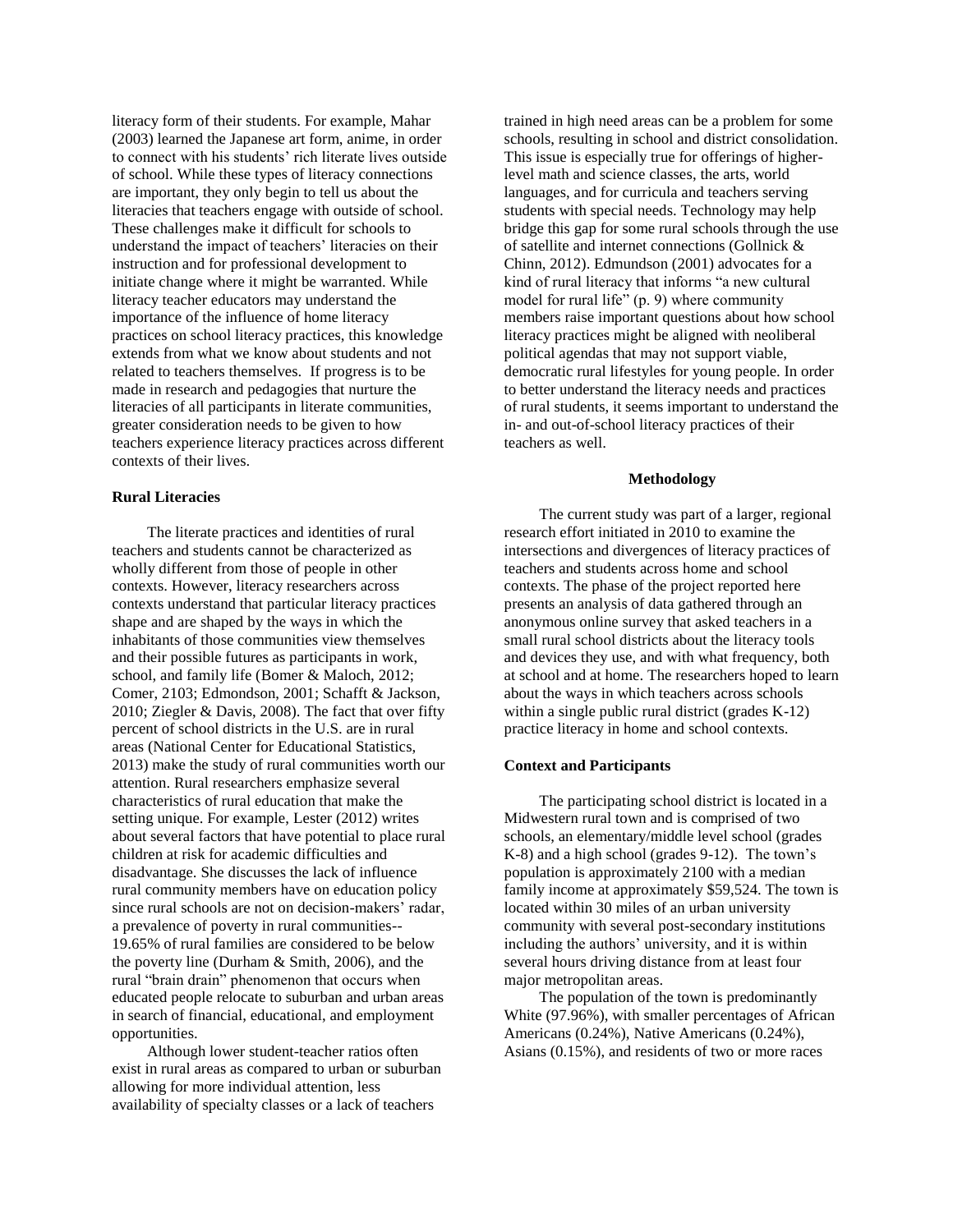literacy form of their students. For example, Mahar (2003) learned the Japanese art form, anime, in order to connect with his students' rich literate lives outside of school. While these types of literacy connections are important, they only begin to tell us about the literacies that teachers engage with outside of school. These challenges make it difficult for schools to understand the impact of teachers' literacies on their instruction and for professional development to initiate change where it might be warranted. While literacy teacher educators may understand the importance of the influence of home literacy practices on school literacy practices, this knowledge extends from what we know about students and not related to teachers themselves. If progress is to be made in research and pedagogies that nurture the literacies of all participants in literate communities, greater consideration needs to be given to how teachers experience literacy practices across different contexts of their lives.

#### **Rural Literacies**

The literate practices and identities of rural teachers and students cannot be characterized as wholly different from those of people in other contexts. However, literacy researchers across contexts understand that particular literacy practices shape and are shaped by the ways in which the inhabitants of those communities view themselves and their possible futures as participants in work, school, and family life (Bomer & Maloch, 2012; Comer, 2103; Edmondson, 2001; Schafft & Jackson, 2010; Ziegler & Davis, 2008). The fact that over fifty percent of school districts in the U.S. are in rural areas (National Center for Educational Statistics, 2013) make the study of rural communities worth our attention. Rural researchers emphasize several characteristics of rural education that make the setting unique. For example, Lester (2012) writes about several factors that have potential to place rural children at risk for academic difficulties and disadvantage. She discusses the lack of influence rural community members have on education policy since rural schools are not on decision-makers' radar, a prevalence of poverty in rural communities-- 19.65% of rural families are considered to be below the poverty line (Durham & Smith, 2006), and the rural "brain drain" phenomenon that occurs when educated people relocate to suburban and urban areas in search of financial, educational, and employment opportunities.

Although lower student-teacher ratios often exist in rural areas as compared to urban or suburban allowing for more individual attention, less availability of specialty classes or a lack of teachers

trained in high need areas can be a problem for some schools, resulting in school and district consolidation. This issue is especially true for offerings of higherlevel math and science classes, the arts, world languages, and for curricula and teachers serving students with special needs. Technology may help bridge this gap for some rural schools through the use of satellite and internet connections (Gollnick & Chinn, 2012). Edmundson (2001) advocates for a kind of rural literacy that informs "a new cultural model for rural life" (p. 9) where community members raise important questions about how school literacy practices might be aligned with neoliberal political agendas that may not support viable, democratic rural lifestyles for young people. In order to better understand the literacy needs and practices of rural students, it seems important to understand the in- and out-of-school literacy practices of their teachers as well.

#### **Methodology**

The current study was part of a larger, regional research effort initiated in 2010 to examine the intersections and divergences of literacy practices of teachers and students across home and school contexts. The phase of the project reported here presents an analysis of data gathered through an anonymous online survey that asked teachers in a small rural school districts about the literacy tools and devices they use, and with what frequency, both at school and at home. The researchers hoped to learn about the ways in which teachers across schools within a single public rural district (grades K-12) practice literacy in home and school contexts.

#### **Context and Participants**

The participating school district is located in a Midwestern rural town and is comprised of two schools, an elementary/middle level school (grades K-8) and a high school (grades 9-12). The town's population is approximately 2100 with a median family income at approximately \$59,524. The town is located within 30 miles of an urban university community with several post-secondary institutions including the authors' university, and it is within several hours driving distance from at least four major metropolitan areas.

The population of the town is predominantly White (97.96%), with smaller percentages of African Americans (0.24%), Native Americans (0.24%), Asians (0.15%), and residents of two or more races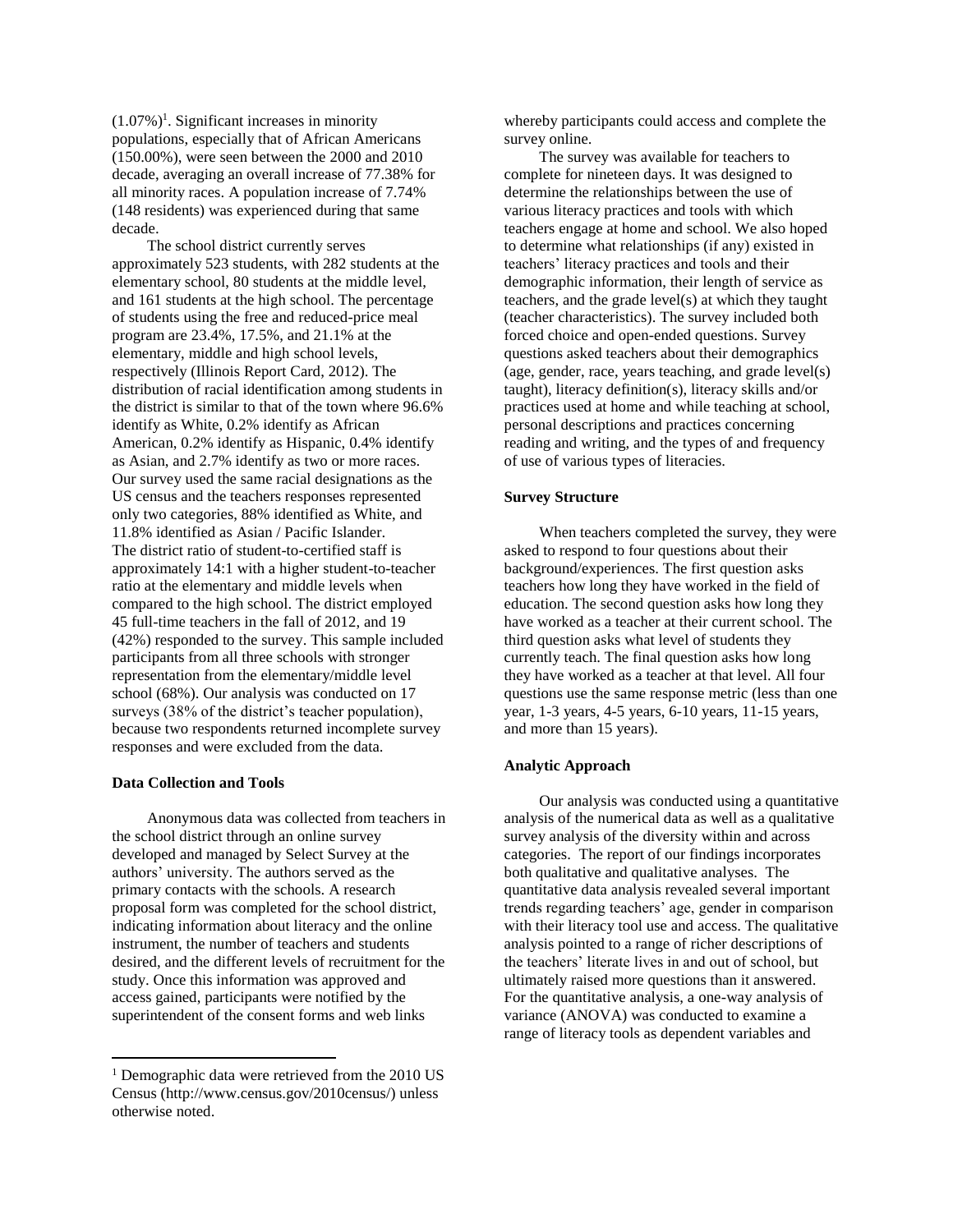$(1.07\%)$ <sup>1</sup>. Significant increases in minority populations, especially that of African Americans (150.00%), were seen between the 2000 and 2010 decade, averaging an overall increase of 77.38% for all minority races. A population increase of 7.74% (148 residents) was experienced during that same decade.

The school district currently serves approximately 523 students, with 282 students at the elementary school, 80 students at the middle level, and 161 students at the high school. The percentage of students using the free and reduced-price meal program are 23.4%, 17.5%, and 21.1% at the elementary, middle and high school levels, respectively (Illinois Report Card, 2012). The distribution of racial identification among students in the district is similar to that of the town where 96.6% identify as White, 0.2% identify as African American, 0.2% identify as Hispanic, 0.4% identify as Asian, and 2.7% identify as two or more races. Our survey used the same racial designations as the US census and the teachers responses represented only two categories, 88% identified as White, and 11.8% identified as Asian / Pacific Islander. The district ratio of student-to-certified staff is approximately 14:1 with a higher student-to-teacher ratio at the elementary and middle levels when compared to the high school. The district employed 45 full-time teachers in the fall of 2012, and 19 (42%) responded to the survey. This sample included participants from all three schools with stronger representation from the elementary/middle level school (68%). Our analysis was conducted on 17 surveys (38% of the district's teacher population), because two respondents returned incomplete survey responses and were excluded from the data.

#### **Data Collection and Tools**

 $\overline{\phantom{a}}$ 

Anonymous data was collected from teachers in the school district through an online survey developed and managed by Select Survey at the authors' university. The authors served as the primary contacts with the schools. A research proposal form was completed for the school district, indicating information about literacy and the online instrument, the number of teachers and students desired, and the different levels of recruitment for the study. Once this information was approved and access gained, participants were notified by the superintendent of the consent forms and web links

whereby participants could access and complete the survey online.

The survey was available for teachers to complete for nineteen days. It was designed to determine the relationships between the use of various literacy practices and tools with which teachers engage at home and school. We also hoped to determine what relationships (if any) existed in teachers' literacy practices and tools and their demographic information, their length of service as teachers, and the grade level(s) at which they taught (teacher characteristics). The survey included both forced choice and open-ended questions. Survey questions asked teachers about their demographics (age, gender, race, years teaching, and grade level(s) taught), literacy definition(s), literacy skills and/or practices used at home and while teaching at school, personal descriptions and practices concerning reading and writing, and the types of and frequency of use of various types of literacies.

#### **Survey Structure**

When teachers completed the survey, they were asked to respond to four questions about their background/experiences. The first question asks teachers how long they have worked in the field of education. The second question asks how long they have worked as a teacher at their current school. The third question asks what level of students they currently teach. The final question asks how long they have worked as a teacher at that level. All four questions use the same response metric (less than one year, 1-3 years, 4-5 years, 6-10 years, 11-15 years, and more than 15 years).

#### **Analytic Approach**

Our analysis was conducted using a quantitative analysis of the numerical data as well as a qualitative survey analysis of the diversity within and across categories. The report of our findings incorporates both qualitative and qualitative analyses. The quantitative data analysis revealed several important trends regarding teachers' age, gender in comparison with their literacy tool use and access. The qualitative analysis pointed to a range of richer descriptions of the teachers' literate lives in and out of school, but ultimately raised more questions than it answered. For the quantitative analysis, a one-way analysis of variance (ANOVA) was conducted to examine a range of literacy tools as dependent variables and

<sup>&</sup>lt;sup>1</sup> Demographic data were retrieved from the 2010 US Census (http://www.census.gov/2010census/) unless otherwise noted.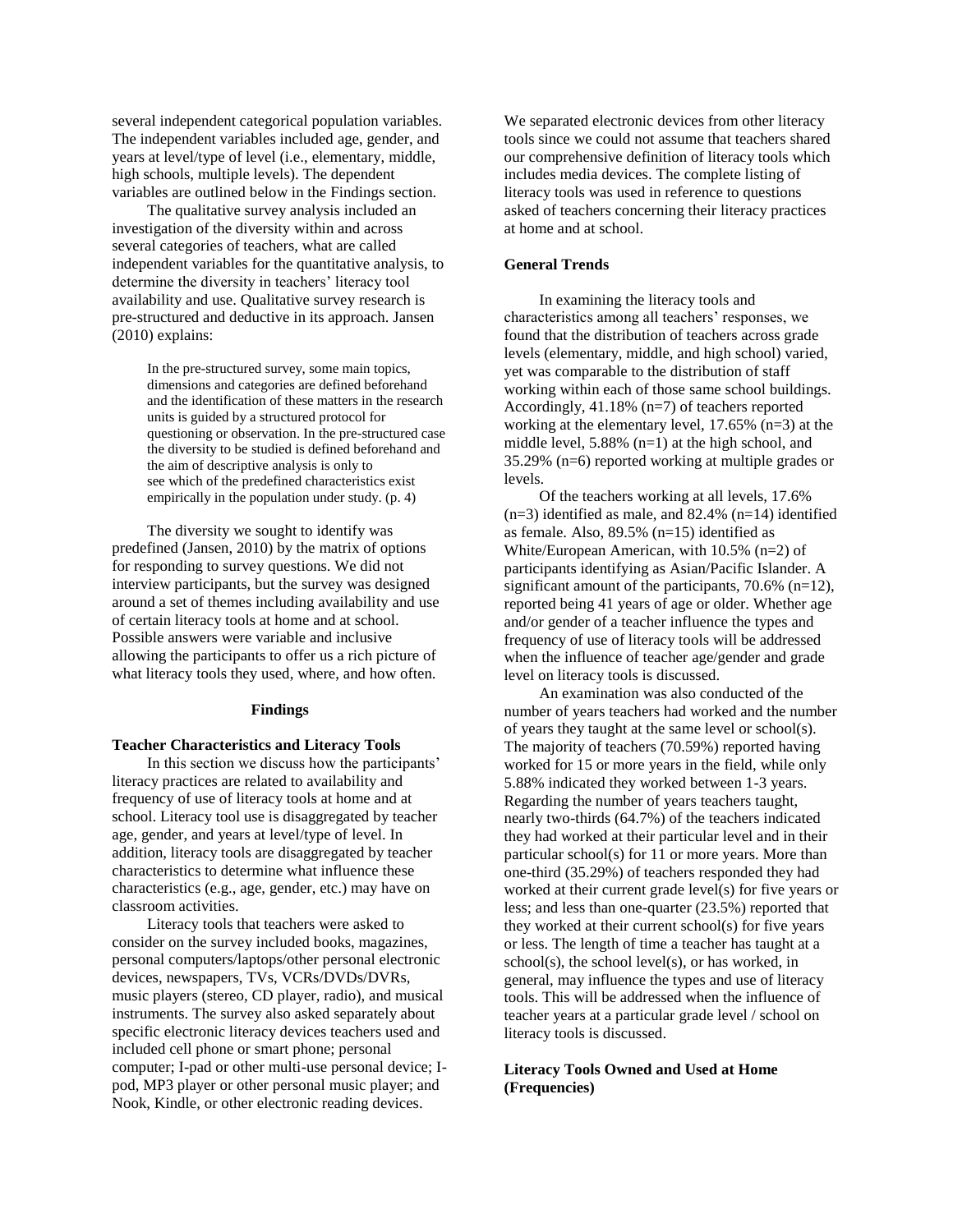several independent categorical population variables. The independent variables included age, gender, and years at level/type of level (i.e., elementary, middle, high schools, multiple levels). The dependent variables are outlined below in the Findings section.

The qualitative survey analysis included an investigation of the diversity within and across several categories of teachers, what are called independent variables for the quantitative analysis, to determine the diversity in teachers' literacy tool availability and use. Qualitative survey research is pre-structured and deductive in its approach. Jansen (2010) explains:

> In the pre-structured survey, some main topics, dimensions and categories are defined beforehand and the identification of these matters in the research units is guided by a structured protocol for questioning or observation. In the pre-structured case the diversity to be studied is defined beforehand and the aim of descriptive analysis is only to see which of the predefined characteristics exist empirically in the population under study. (p. 4)

The diversity we sought to identify was predefined (Jansen, 2010) by the matrix of options for responding to survey questions. We did not interview participants, but the survey was designed around a set of themes including availability and use of certain literacy tools at home and at school. Possible answers were variable and inclusive allowing the participants to offer us a rich picture of what literacy tools they used, where, and how often.

#### **Findings**

# **Teacher Characteristics and Literacy Tools**

In this section we discuss how the participants' literacy practices are related to availability and frequency of use of literacy tools at home and at school. Literacy tool use is disaggregated by teacher age, gender, and years at level/type of level. In addition, literacy tools are disaggregated by teacher characteristics to determine what influence these characteristics (e.g., age, gender, etc.) may have on classroom activities.

Literacy tools that teachers were asked to consider on the survey included books, magazines, personal computers/laptops/other personal electronic devices, newspapers, TVs, VCRs/DVDs/DVRs, music players (stereo, CD player, radio), and musical instruments. The survey also asked separately about specific electronic literacy devices teachers used and included cell phone or smart phone; personal computer; I-pad or other multi-use personal device; Ipod, MP3 player or other personal music player; and Nook, Kindle, or other electronic reading devices.

We separated electronic devices from other literacy tools since we could not assume that teachers shared our comprehensive definition of literacy tools which includes media devices. The complete listing of literacy tools was used in reference to questions asked of teachers concerning their literacy practices at home and at school.

### **General Trends**

In examining the literacy tools and characteristics among all teachers' responses, we found that the distribution of teachers across grade levels (elementary, middle, and high school) varied, yet was comparable to the distribution of staff working within each of those same school buildings. Accordingly, 41.18% (n=7) of teachers reported working at the elementary level, 17.65% (n=3) at the middle level, 5.88% (n=1) at the high school, and 35.29% (n=6) reported working at multiple grades or levels.

Of the teachers working at all levels, 17.6%  $(n=3)$  identified as male, and 82.4%  $(n=14)$  identified as female. Also, 89.5% (n=15) identified as White/European American, with 10.5% (n=2) of participants identifying as Asian/Pacific Islander. A significant amount of the participants, 70.6% (n=12), reported being 41 years of age or older. Whether age and/or gender of a teacher influence the types and frequency of use of literacy tools will be addressed when the influence of teacher age/gender and grade level on literacy tools is discussed.

An examination was also conducted of the number of years teachers had worked and the number of years they taught at the same level or school(s). The majority of teachers (70.59%) reported having worked for 15 or more years in the field, while only 5.88% indicated they worked between 1-3 years. Regarding the number of years teachers taught, nearly two-thirds (64.7%) of the teachers indicated they had worked at their particular level and in their particular school(s) for 11 or more years. More than one-third (35.29%) of teachers responded they had worked at their current grade level(s) for five years or less; and less than one-quarter (23.5%) reported that they worked at their current school(s) for five years or less. The length of time a teacher has taught at a school(s), the school level(s), or has worked, in general, may influence the types and use of literacy tools. This will be addressed when the influence of teacher years at a particular grade level / school on literacy tools is discussed.

# **Literacy Tools Owned and Used at Home (Frequencies)**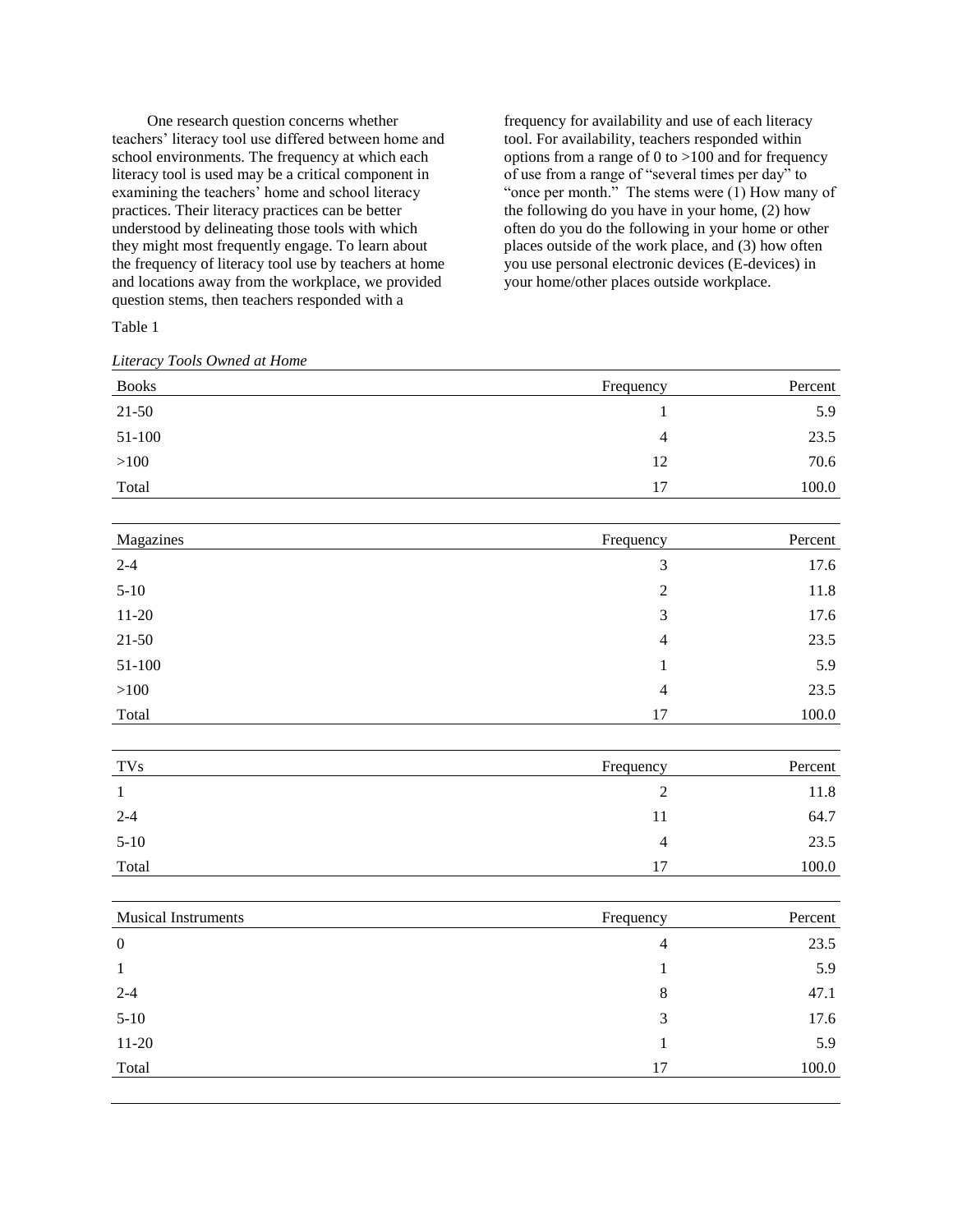One research question concerns whether teachers' literacy tool use differed between home and school environments. The frequency at which each literacy tool is used may be a critical component in examining the teachers' home and school literacy practices. Their literacy practices can be better understood by delineating those tools with which they might most frequently engage. To learn about the frequency of literacy tool use by teachers at home and locations away from the workplace, we provided question stems, then teachers responded with a

frequency for availability and use of each literacy tool. For availability, teachers responded within options from a range of 0 to  $>100$  and for frequency of use from a range of "several times per day" to "once per month." The stems were (1) How many of the following do you have in your home, (2) how often do you do the following in your home or other places outside of the work place, and (3) how often you use personal electronic devices (E-devices) in your home/other places outside workplace.

Table 1

*Literacy Tools Owned at Home*

| <b>Books</b> | Frequency | Percent |
|--------------|-----------|---------|
| $21 - 50$    |           | 5.9     |
| 51-100       | 4         | 23.5    |
| >100         | 12        | 70.6    |
| Total        | 17        | 100.0   |

| Magazines | Frequency      | Percent |
|-----------|----------------|---------|
| $2 - 4$   | 3              | 17.6    |
| $5-10$    | 2              | 11.8    |
| $11-20$   | 3              | 17.6    |
| $21 - 50$ | $\overline{4}$ | 23.5    |
| 51-100    |                | 5.9     |
| >100      | $\overline{4}$ | 23.5    |
| Total     | 17             | 100.0   |

| <b>TVs</b> | Frequency | Percent |
|------------|-----------|---------|
|            |           | 11.8    |
| $2 - 4$    | 11        | 64.7    |
| $5-10$     | 4         | 23.5    |
| Total      | 17        | 100.0   |

| <b>Musical Instruments</b> | Frequency      | Percent |
|----------------------------|----------------|---------|
| $\overline{0}$             | $\overline{4}$ | 23.5    |
| -1                         |                | 5.9     |
| $2 - 4$                    | 8              | 47.1    |
| $5-10$                     | 3              | 17.6    |
| $11-20$                    |                | 5.9     |
| Total                      | 17             | 100.0   |
|                            |                |         |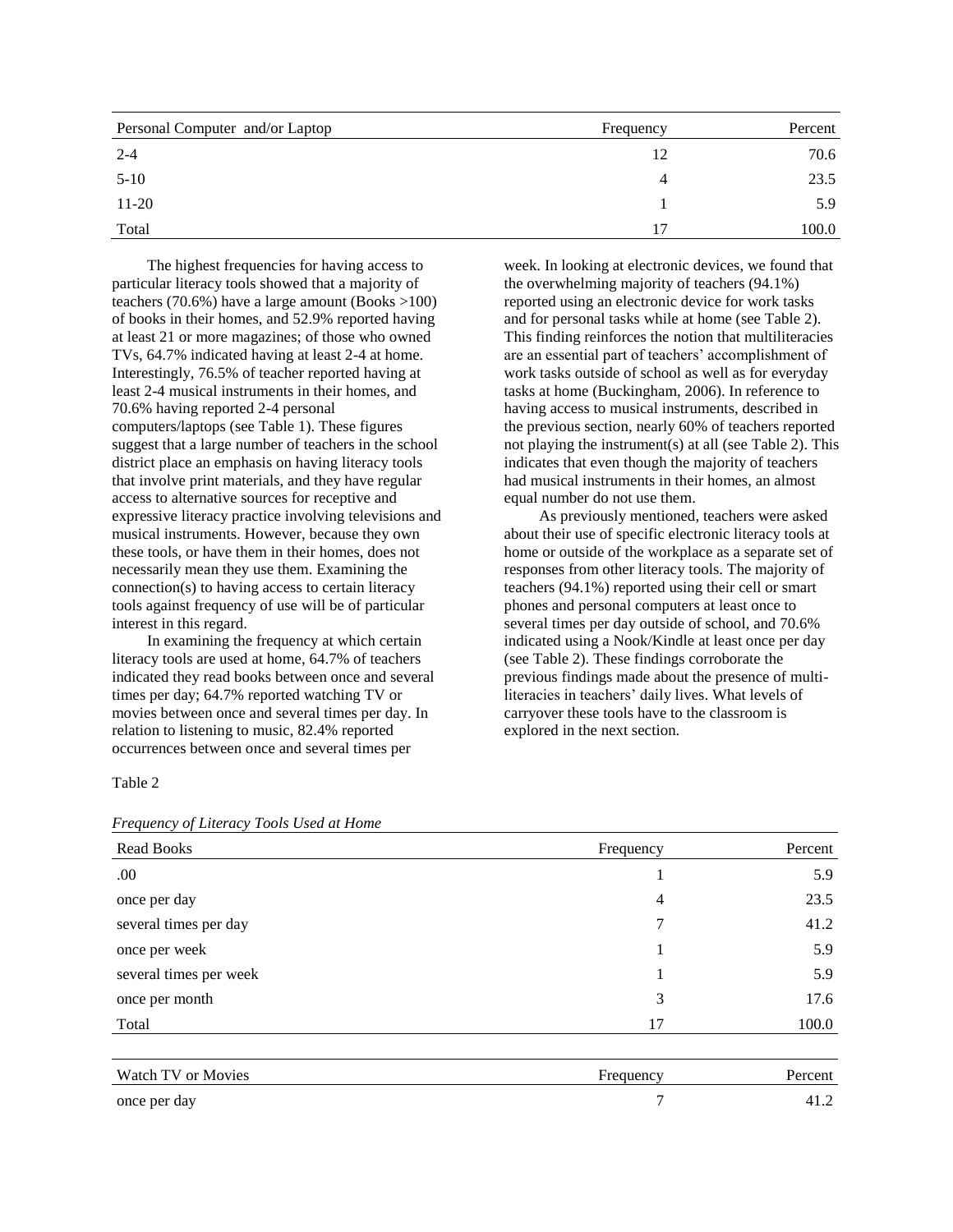| Personal Computer and/or Laptop | Frequency | Percent |
|---------------------------------|-----------|---------|
| $2 - 4$                         | 12        | 70.6    |
| $5-10$                          | 4         | 23.5    |
| $11-20$                         |           | 5.9     |
| Total                           | 17        | 100.0   |

The highest frequencies for having access to particular literacy tools showed that a majority of teachers (70.6%) have a large amount (Books >100) of books in their homes, and 52.9% reported having at least 21 or more magazines; of those who owned TVs, 64.7% indicated having at least 2-4 at home. Interestingly, 76.5% of teacher reported having at least 2-4 musical instruments in their homes, and 70.6% having reported 2-4 personal computers/laptops (see Table 1). These figures suggest that a large number of teachers in the school district place an emphasis on having literacy tools that involve print materials, and they have regular access to alternative sources for receptive and expressive literacy practice involving televisions and musical instruments. However, because they own these tools, or have them in their homes, does not necessarily mean they use them. Examining the connection(s) to having access to certain literacy tools against frequency of use will be of particular interest in this regard.

In examining the frequency at which certain literacy tools are used at home, 64.7% of teachers indicated they read books between once and several times per day; 64.7% reported watching TV or movies between once and several times per day. In relation to listening to music, 82.4% reported occurrences between once and several times per

week. In looking at electronic devices, we found that the overwhelming majority of teachers (94.1%) reported using an electronic device for work tasks and for personal tasks while at home (see Table 2). This finding reinforces the notion that multiliteracies are an essential part of teachers' accomplishment of work tasks outside of school as well as for everyday tasks at home (Buckingham, 2006). In reference to having access to musical instruments, described in the previous section, nearly 60% of teachers reported not playing the instrument(s) at all (see Table 2). This indicates that even though the majority of teachers had musical instruments in their homes, an almost equal number do not use them.

As previously mentioned, teachers were asked about their use of specific electronic literacy tools at home or outside of the workplace as a separate set of responses from other literacy tools. The majority of teachers (94.1%) reported using their cell or smart phones and personal computers at least once to several times per day outside of school, and 70.6% indicated using a Nook/Kindle at least once per day (see Table 2). These findings corroborate the previous findings made about the presence of multiliteracies in teachers' daily lives. What levels of carryover these tools have to the classroom is explored in the next section.

#### Table 2

| <b>Read Books</b>      | Frequency | Percent |
|------------------------|-----------|---------|
| .00.                   |           | 5.9     |
| once per day           | 4         | 23.5    |
| several times per day  | 7         | 41.2    |
| once per week          |           | 5.9     |
| several times per week | 1         | 5.9     |
| once per month         | 3         | 17.6    |
| Total                  | 17        | 100.0   |
|                        |           |         |
| Watch TV or Movies     | Frequency | Percent |

# *Frequency of Literacy Tools Used at Home*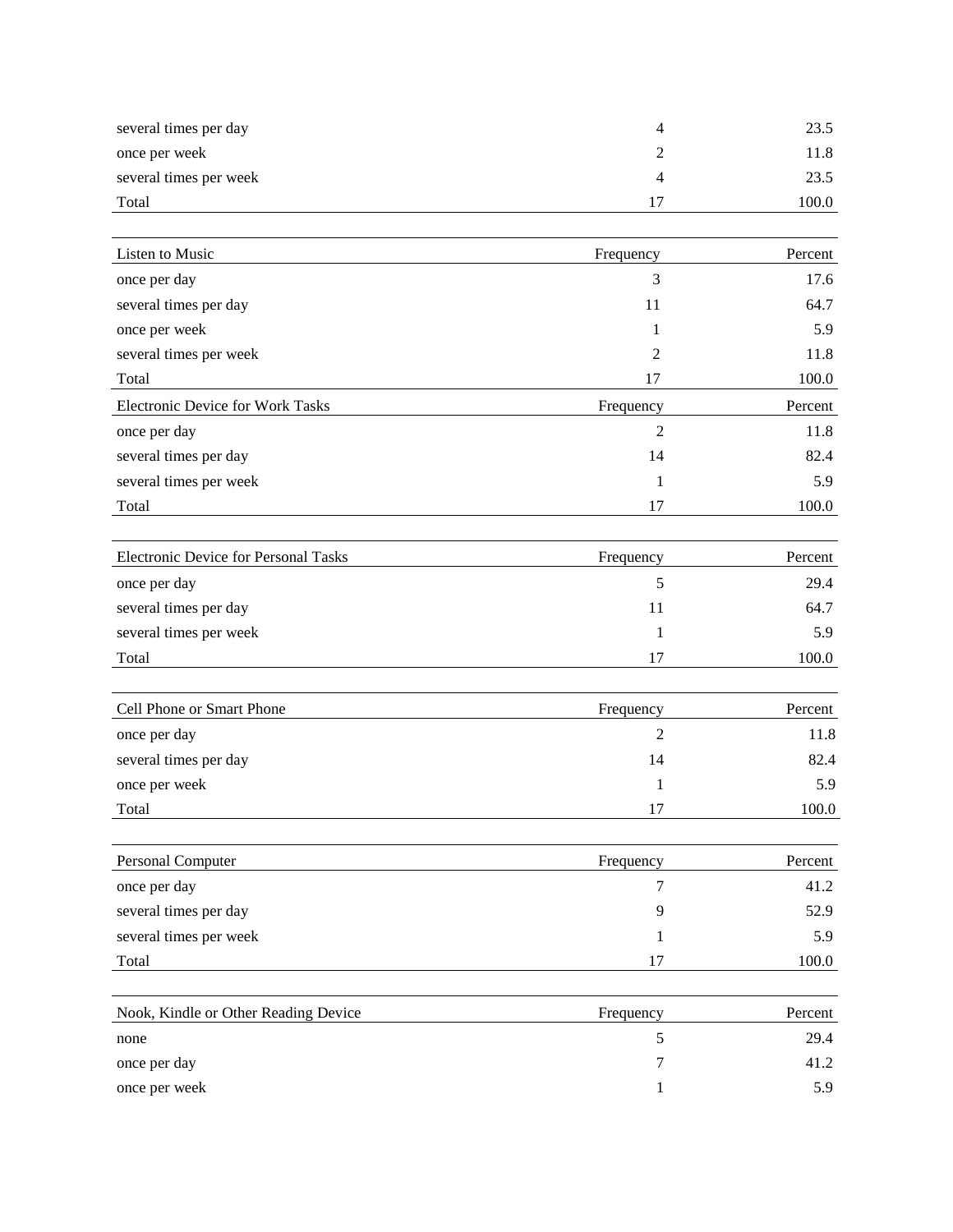| several times per day  | 23.5  |
|------------------------|-------|
| once per week          | 11.8  |
| several times per week | 23.5  |
| Total                  | 100.0 |

| Listen to Music                         | Frequency      | Percent |
|-----------------------------------------|----------------|---------|
| once per day                            | 3              | 17.6    |
| several times per day                   | 11             | 64.7    |
| once per week                           |                | 5.9     |
| several times per week                  | 2              | 11.8    |
| Total                                   | 17             | 100.0   |
| <b>Electronic Device for Work Tasks</b> | Frequency      | Percent |
| once per day                            | $\overline{2}$ | 11.8    |
| several times per day                   | 14             | 82.4    |
| several times per week                  |                | 5.9     |
| Total                                   | 17             | 100.0   |
| Electronic Device for Personal Tasks    | Frequency      | Percent |

|                        | ------ |       |
|------------------------|--------|-------|
| once per day           |        | 29.4  |
| several times per day  |        | 64.7  |
| several times per week |        | 5.9   |
| Total                  | 17     | 100.0 |

| Cell Phone or Smart Phone | Frequency | Percent |
|---------------------------|-----------|---------|
| once per day              |           | 11.8    |
| several times per day     | 14        | 82.4    |
| once per week             |           | 5.9     |
| Total                     | 17        | 100.0   |

| Frequency | Percent |
|-----------|---------|
|           | 41.2    |
| 9         | 52.9    |
|           | 5.9     |
| 17        | 100.0   |
|           |         |
|           |         |

| Nook, Kindle or Other Reading Device | Frequency | Percent |
|--------------------------------------|-----------|---------|
| none                                 |           | 29.4    |
| once per day                         |           | 41.2    |
| once per week                        |           | 5.9     |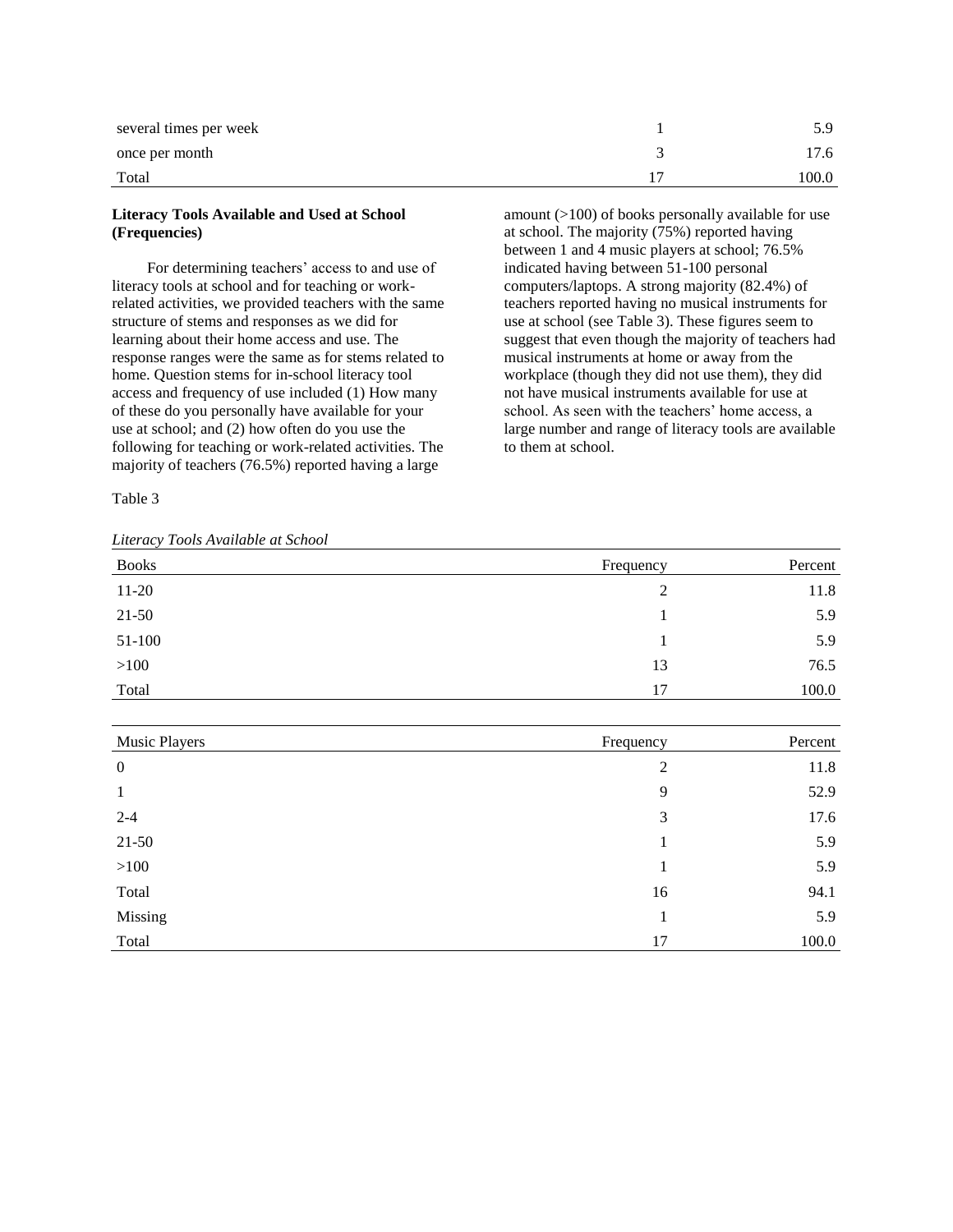| several times per week | 5.9   |
|------------------------|-------|
| once per month         | 17.6  |
| Total                  | 100.0 |

# **Literacy Tools Available and Used at School (Frequencies)**

For determining teachers' access to and use of literacy tools at school and for teaching or workrelated activities, we provided teachers with the same structure of stems and responses as we did for learning about their home access and use. The response ranges were the same as for stems related to home. Question stems for in-school literacy tool access and frequency of use included (1) How many of these do you personally have available for your use at school; and (2) how often do you use the following for teaching or work-related activities. The majority of teachers (76.5%) reported having a large

Table 3

*Literacy Tools Available at School*

amount (>100) of books personally available for use at school. The majority  $(75%)$  reported having between 1 and 4 music players at school; 76.5% indicated having between 51-100 personal computers/laptops. A strong majority (82.4%) of teachers reported having no musical instruments for use at school (see Table 3). These figures seem to suggest that even though the majority of teachers had musical instruments at home or away from the workplace (though they did not use them), they did not have musical instruments available for use at school. As seen with the teachers' home access, a large number and range of literacy tools are available to them at school.

| <b>Books</b> | Frequency | Percent |
|--------------|-----------|---------|
| $11-20$      | 2         | 11.8    |
| $21 - 50$    |           | 5.9     |
| 51-100       |           | 5.9     |
| >100         | 13        | 76.5    |
| Total        | 17        | 100.0   |

| Music Players    | Frequency      | Percent |
|------------------|----------------|---------|
| $\boldsymbol{0}$ | $\overline{2}$ | 11.8    |
| 1                | 9              | 52.9    |
| $2 - 4$          | 3              | 17.6    |
| $21 - 50$        | 1              | 5.9     |
| >100             | 1              | 5.9     |
| Total            | 16             | 94.1    |
| Missing          | 1              | 5.9     |
| Total            | 17             | 100.0   |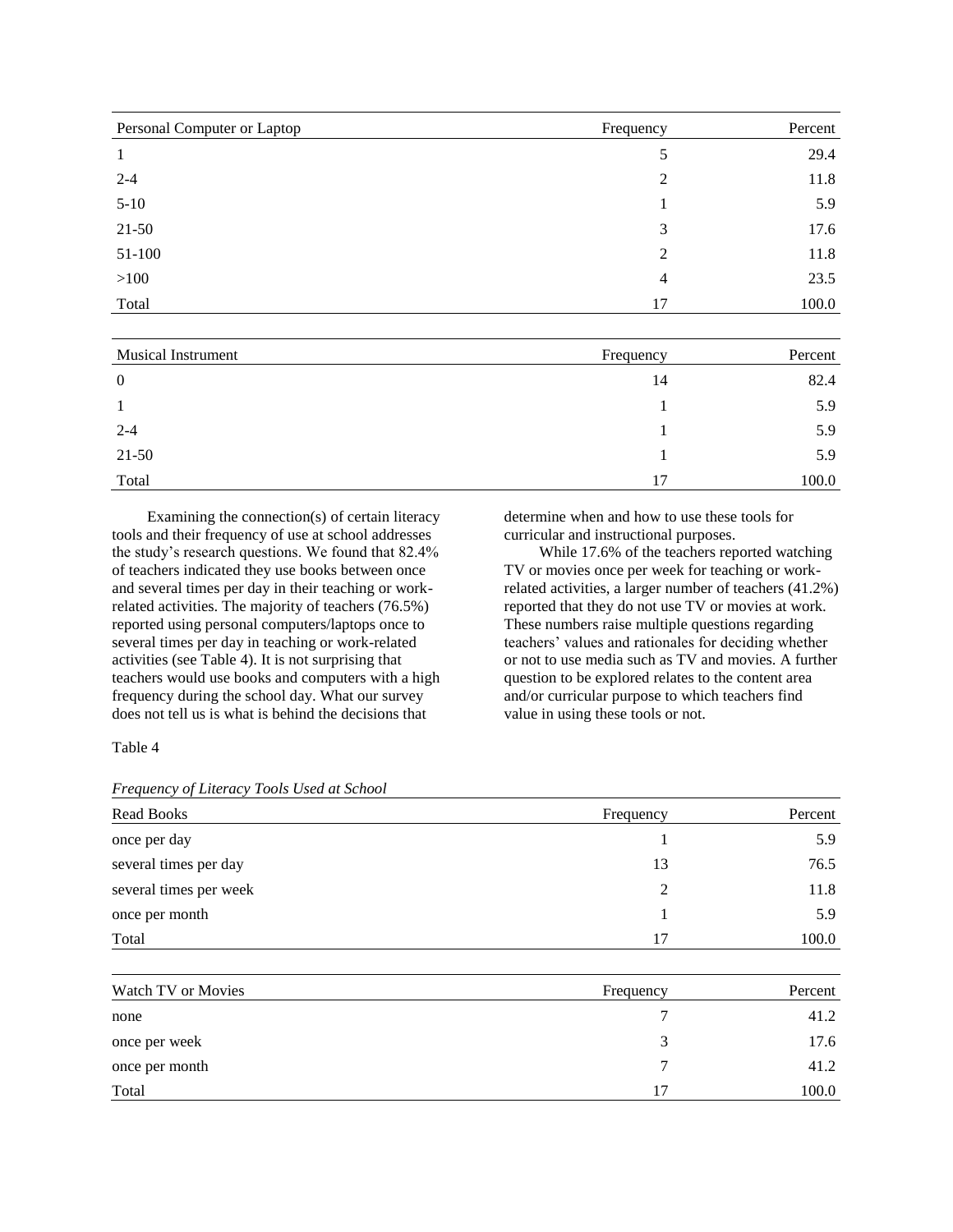| Personal Computer or Laptop | Frequency      | Percent |
|-----------------------------|----------------|---------|
|                             | 5              | 29.4    |
| $2 - 4$                     | $\overline{2}$ | 11.8    |
| $5-10$                      |                | 5.9     |
| $21 - 50$                   | 3              | 17.6    |
| 51-100                      | 2              | 11.8    |
| >100                        | 4              | 23.5    |
| Total                       | 17             | 100.0   |

| <b>Musical Instrument</b> | Frequency | Percent |
|---------------------------|-----------|---------|
| $\overline{0}$            | 14        | 82.4    |
|                           |           | 5.9     |
| $2 - 4$                   |           | 5.9     |
| $21 - 50$                 |           | 5.9     |
| Total                     | 17        | 100.0   |

Examining the connection(s) of certain literacy tools and their frequency of use at school addresses the study's research questions. We found that 82.4% of teachers indicated they use books between once and several times per day in their teaching or workrelated activities. The majority of teachers (76.5%) reported using personal computers/laptops once to several times per day in teaching or work-related activities (see Table 4). It is not surprising that teachers would use books and computers with a high frequency during the school day. What our survey does not tell us is what is behind the decisions that

determine when and how to use these tools for curricular and instructional purposes.

While 17.6% of the teachers reported watching TV or movies once per week for teaching or workrelated activities, a larger number of teachers (41.2%) reported that they do not use TV or movies at work. These numbers raise multiple questions regarding teachers' values and rationales for deciding whether or not to use media such as TV and movies. A further question to be explored relates to the content area and/or curricular purpose to which teachers find value in using these tools or not.

Table 4

*Frequency of Literacy Tools Used at School*

| Frequency | Percent |
|-----------|---------|
|           | 5.9     |
| 13        | 76.5    |
| 2         | 11.8    |
|           | 5.9     |
| 17        | 100.0   |
| Frequency | Percent |
| 7         | 41.2    |
| 3         | 17.6    |
|           |         |

once per month  $\frac{7}{41.2}$  $\text{Total}$  17 100.0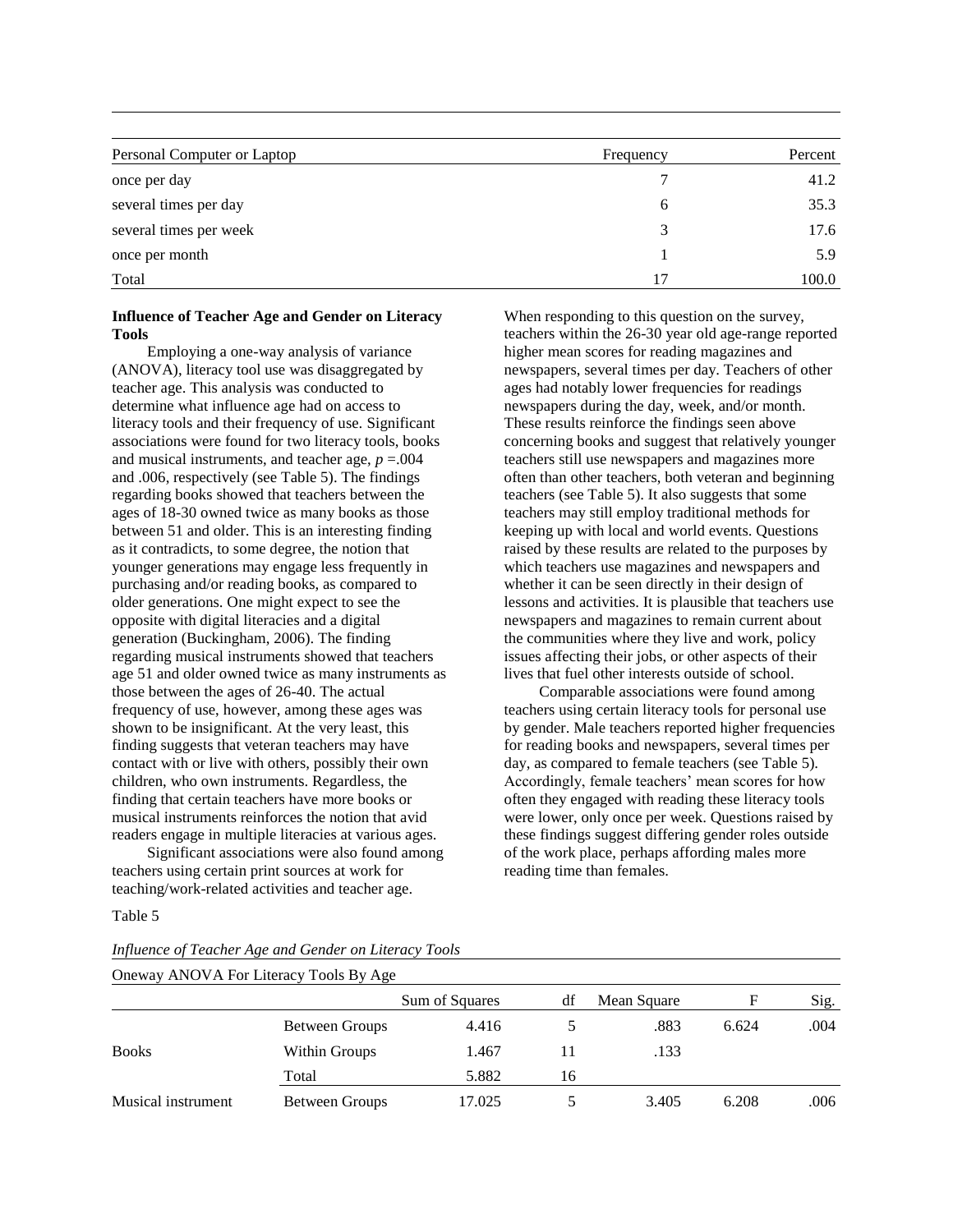| Personal Computer or Laptop | Frequency | Percent |
|-----------------------------|-----------|---------|
| once per day                |           | 41.2    |
| several times per day       | b         | 35.3    |
| several times per week      | 3         | 17.6    |
| once per month              |           | 5.9     |
| Total                       | 17        | 100.0   |

### **Influence of Teacher Age and Gender on Literacy Tools**

Employing a one-way analysis of variance (ANOVA), literacy tool use was disaggregated by teacher age. This analysis was conducted to determine what influence age had on access to literacy tools and their frequency of use. Significant associations were found for two literacy tools, books and musical instruments, and teacher age,  $p = .004$ and .006, respectively (see Table 5). The findings regarding books showed that teachers between the ages of 18-30 owned twice as many books as those between 51 and older. This is an interesting finding as it contradicts, to some degree, the notion that younger generations may engage less frequently in purchasing and/or reading books, as compared to older generations. One might expect to see the opposite with digital literacies and a digital generation (Buckingham, 2006). The finding regarding musical instruments showed that teachers age 51 and older owned twice as many instruments as those between the ages of 26-40. The actual frequency of use, however, among these ages was shown to be insignificant. At the very least, this finding suggests that veteran teachers may have contact with or live with others, possibly their own children, who own instruments. Regardless, the finding that certain teachers have more books or musical instruments reinforces the notion that avid readers engage in multiple literacies at various ages.

Significant associations were also found among teachers using certain print sources at work for teaching/work-related activities and teacher age.

Table 5

*Influence of Teacher Age and Gender on Literacy Tools*

When responding to this question on the survey, teachers within the 26-30 year old age-range reported higher mean scores for reading magazines and newspapers, several times per day. Teachers of other ages had notably lower frequencies for readings newspapers during the day, week, and/or month. These results reinforce the findings seen above concerning books and suggest that relatively younger teachers still use newspapers and magazines more often than other teachers, both veteran and beginning teachers (see Table 5). It also suggests that some teachers may still employ traditional methods for keeping up with local and world events. Questions raised by these results are related to the purposes by which teachers use magazines and newspapers and whether it can be seen directly in their design of lessons and activities. It is plausible that teachers use newspapers and magazines to remain current about the communities where they live and work, policy issues affecting their jobs, or other aspects of their lives that fuel other interests outside of school.

Comparable associations were found among teachers using certain literacy tools for personal use by gender. Male teachers reported higher frequencies for reading books and newspapers, several times per day, as compared to female teachers (see Table 5). Accordingly, female teachers' mean scores for how often they engaged with reading these literacy tools were lower, only once per week. Questions raised by these findings suggest differing gender roles outside of the work place, perhaps affording males more reading time than females.

| Oneway ANOVA For Literacy Tools By Age |                |                |    |             |       |      |
|----------------------------------------|----------------|----------------|----|-------------|-------|------|
|                                        |                | Sum of Squares | dt | Mean Square | F     | Sig. |
|                                        | Between Groups | 4.416          |    | .883        | 6.624 | .004 |
| <b>Books</b>                           | Within Groups  | 1.467          |    | .133        |       |      |
|                                        | Total          | 5.882          | 16 |             |       |      |
| Musical instrument                     | Between Groups | 17.025         |    | 3.405       | 6.208 | .006 |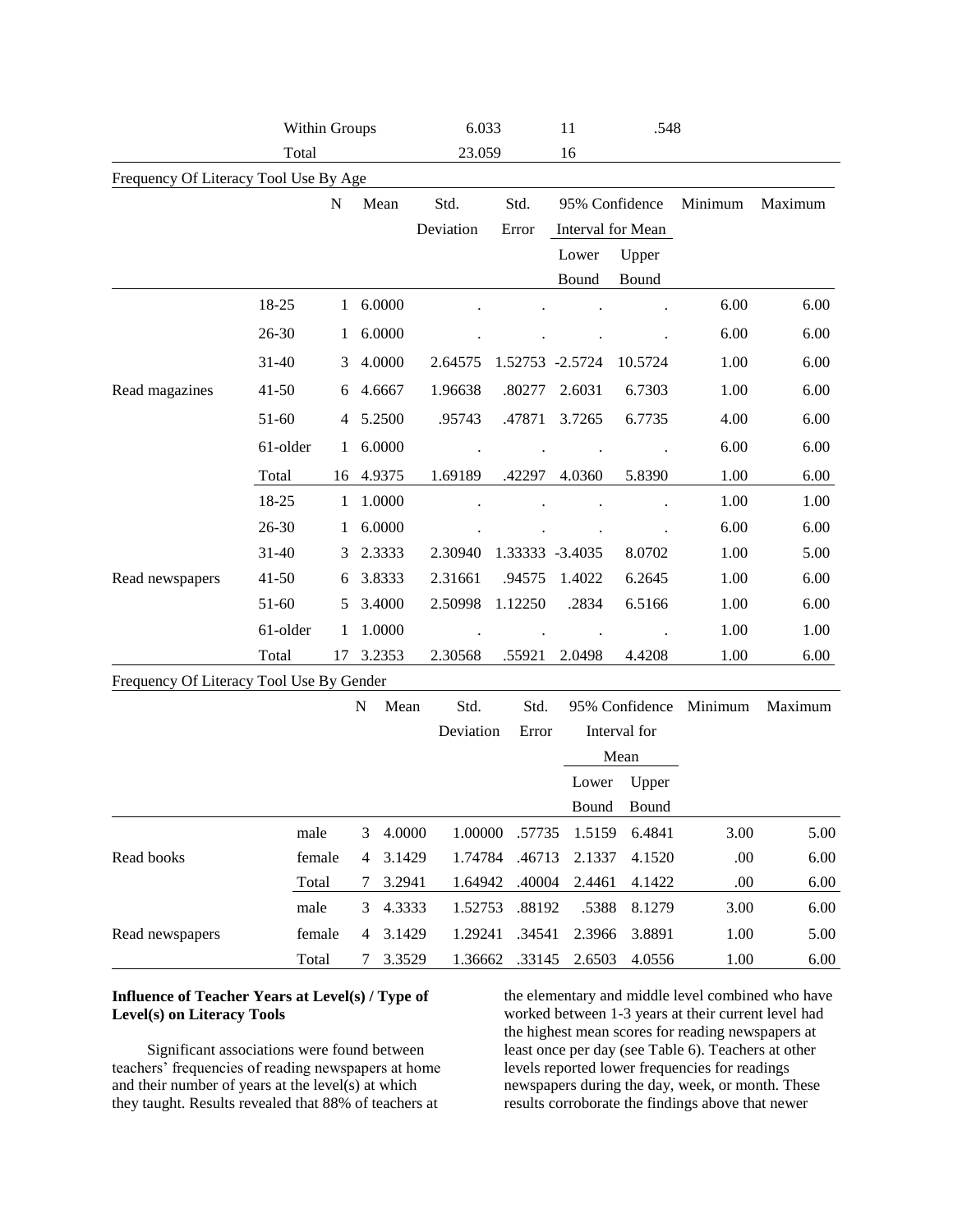|                                          | Within Groups  |              |        |                  | 6.033              |                  | 11              |                   |                                                                                                                                                                                                                                                                                                                      |         |
|------------------------------------------|----------------|--------------|--------|------------------|--------------------|------------------|-----------------|-------------------|----------------------------------------------------------------------------------------------------------------------------------------------------------------------------------------------------------------------------------------------------------------------------------------------------------------------|---------|
|                                          | Total          |              |        |                  | 23.059             |                  | 16              |                   |                                                                                                                                                                                                                                                                                                                      |         |
| Frequency Of Literacy Tool Use By Age    |                |              |        |                  |                    |                  |                 |                   |                                                                                                                                                                                                                                                                                                                      |         |
|                                          |                | N            | Mean   |                  | Std.               | Std.             |                 | 95% Confidence    | Minimum                                                                                                                                                                                                                                                                                                              | Maximum |
|                                          |                |              |        |                  | Deviation          | Error            |                 | Interval for Mean |                                                                                                                                                                                                                                                                                                                      |         |
|                                          |                |              |        |                  |                    |                  | Lower           | Upper             |                                                                                                                                                                                                                                                                                                                      |         |
|                                          |                |              |        |                  |                    |                  | Bound           | Bound             |                                                                                                                                                                                                                                                                                                                      |         |
|                                          | 18-25          | $\mathbf{1}$ |        | 6.0000           |                    |                  |                 |                   | 6.00                                                                                                                                                                                                                                                                                                                 | 6.00    |
|                                          | 26-30          | 1            |        | 6.0000           |                    |                  |                 |                   | 6.00                                                                                                                                                                                                                                                                                                                 | 6.00    |
|                                          | $31 - 40$      | 3            |        | 4.0000           | 2.64575            | 1.52753 -2.5724  |                 | 10.5724           | 1.00                                                                                                                                                                                                                                                                                                                 | 6.00    |
| Read magazines                           | $41 - 50$      | 6            |        | 4.6667           | 1.96638            | .80277           | 2.6031          | 6.7303            | 1.00                                                                                                                                                                                                                                                                                                                 | 6.00    |
|                                          | 51-60          | 4            |        | 5.2500           | .95743             | .47871           | 3.7265          | 6.7735            | 4.00                                                                                                                                                                                                                                                                                                                 | 6.00    |
|                                          | 61-older       | $\mathbf{1}$ |        | 6.0000           |                    |                  |                 |                   | 6.00                                                                                                                                                                                                                                                                                                                 | 6.00    |
|                                          | Total          | 16           | 4.9375 |                  | 1.69189            | .42297           | 4.0360          | 5.8390            | .548<br>1.00<br>6.00<br>1.00<br>1.00<br>6.00<br>6.00<br>1.00<br>5.00<br>1.00<br>6.00<br>1.00<br>6.00<br>1.00<br>1.00<br>1.00<br>6.00<br>Minimum<br>Maximum<br>5.00<br>6.4841<br>3.00<br>.00<br>4.1520<br>6.00<br>.00<br>6.00<br>4.1422<br>8.1279<br>3.00<br>6.00<br>3.8891<br>1.00<br>5.00<br>1.00<br>4.0556<br>6.00 |         |
|                                          | 18-25          | $\mathbf{1}$ |        | 1.0000           |                    |                  |                 |                   |                                                                                                                                                                                                                                                                                                                      |         |
|                                          | 26-30          | 1            |        | 6.0000           |                    |                  |                 |                   |                                                                                                                                                                                                                                                                                                                      |         |
|                                          | $31 - 40$      | 3            |        | 2.3333           | 2.30940            | 1.33333 -3.4035  |                 | 8.0702            |                                                                                                                                                                                                                                                                                                                      |         |
| Read newspapers                          | $41 - 50$      | 6            |        | 3.8333           | 2.31661            | .94575           | 1.4022          | 6.2645            |                                                                                                                                                                                                                                                                                                                      |         |
|                                          | 51-60          | 5            |        | 3.4000           | 2.50998            | 1.12250          | .2834           | 6.5166            |                                                                                                                                                                                                                                                                                                                      |         |
|                                          | 61-older       | 1            |        | 1.0000           |                    |                  |                 |                   |                                                                                                                                                                                                                                                                                                                      |         |
|                                          | Total          | 17           | 3.2353 |                  | 2.30568            | .55921           | 2.0498          | 4.4208            |                                                                                                                                                                                                                                                                                                                      |         |
| Frequency Of Literacy Tool Use By Gender |                |              |        |                  |                    |                  |                 |                   |                                                                                                                                                                                                                                                                                                                      |         |
|                                          |                |              | N      | Mean             | Std.               | Std.             |                 | 95% Confidence    |                                                                                                                                                                                                                                                                                                                      |         |
|                                          |                |              |        |                  | Deviation          | Error            |                 | Interval for      |                                                                                                                                                                                                                                                                                                                      |         |
|                                          |                |              |        |                  |                    |                  |                 | Mean              |                                                                                                                                                                                                                                                                                                                      |         |
|                                          |                |              |        |                  |                    |                  | Lower           | Upper             |                                                                                                                                                                                                                                                                                                                      |         |
|                                          |                |              |        |                  |                    |                  |                 | Bound Bound       |                                                                                                                                                                                                                                                                                                                      |         |
|                                          | male           |              | 3      | 4.0000           | 1.00000            | .57735           | 1.5159          |                   |                                                                                                                                                                                                                                                                                                                      |         |
| Read books                               | female         |              | 4      | 3.1429           | 1.74784            | .46713           | 2.1337          |                   |                                                                                                                                                                                                                                                                                                                      |         |
|                                          | Total          |              | 7      | 3.2941           | 1.64942            | .40004           | 2.4461          |                   |                                                                                                                                                                                                                                                                                                                      |         |
| Read newspapers                          | male<br>female |              | 3<br>4 | 4.3333<br>3.1429 | 1.52753<br>1.29241 | .88192<br>.34541 | .5388<br>2.3966 |                   |                                                                                                                                                                                                                                                                                                                      |         |
|                                          | Total          |              | 7      | 3.3529           | 1.36662            | .33145           | 2.6503          |                   |                                                                                                                                                                                                                                                                                                                      |         |

# **Influence of Teacher Years at Level(s) / Type of Level(s) on Literacy Tools**

Significant associations were found between teachers' frequencies of reading newspapers at home and their number of years at the level(s) at which they taught. Results revealed that 88% of teachers at

the elementary and middle level combined who have worked between 1-3 years at their current level had the highest mean scores for reading newspapers at least once per day (see Table 6). Teachers at other levels reported lower frequencies for readings newspapers during the day, week, or month. These results corroborate the findings above that newer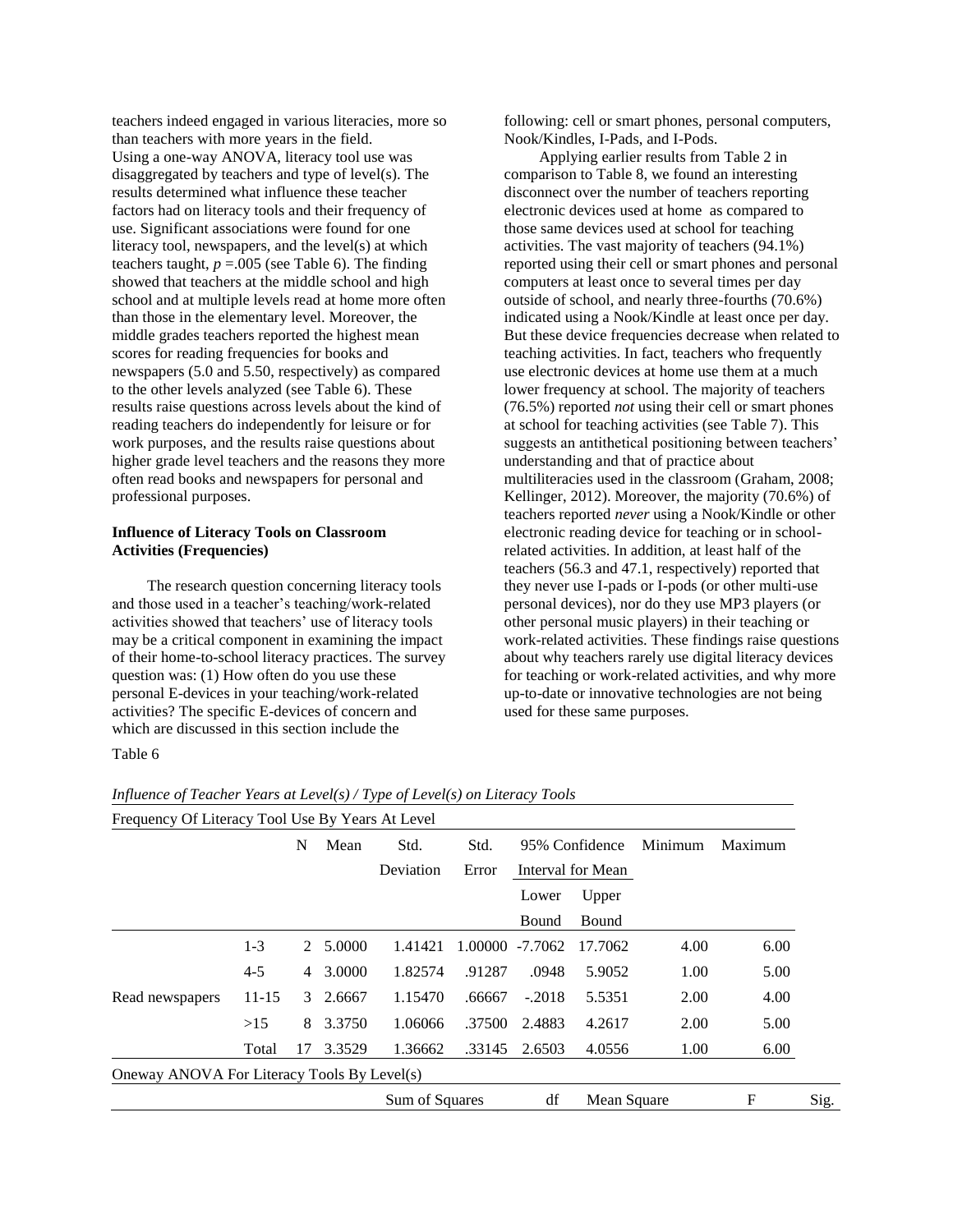teachers indeed engaged in various literacies, more so than teachers with more years in the field. Using a one-way ANOVA, literacy tool use was disaggregated by teachers and type of level(s). The results determined what influence these teacher factors had on literacy tools and their frequency of use. Significant associations were found for one literacy tool, newspapers, and the level(s) at which teachers taught,  $p = 0.005$  (see Table 6). The finding showed that teachers at the middle school and high school and at multiple levels read at home more often than those in the elementary level. Moreover, the middle grades teachers reported the highest mean scores for reading frequencies for books and newspapers (5.0 and 5.50, respectively) as compared to the other levels analyzed (see Table 6). These results raise questions across levels about the kind of reading teachers do independently for leisure or for work purposes, and the results raise questions about higher grade level teachers and the reasons they more often read books and newspapers for personal and professional purposes.

### **Influence of Literacy Tools on Classroom Activities (Frequencies)**

The research question concerning literacy tools and those used in a teacher's teaching/work-related activities showed that teachers' use of literacy tools may be a critical component in examining the impact of their home-to-school literacy practices. The survey question was: (1) How often do you use these personal E-devices in your teaching/work-related activities? The specific E-devices of concern and which are discussed in this section include the

following: cell or smart phones, personal computers, Nook/Kindles, I-Pads, and I-Pods.

Applying earlier results from Table 2 in comparison to Table 8, we found an interesting disconnect over the number of teachers reporting electronic devices used at home as compared to those same devices used at school for teaching activities. The vast majority of teachers (94.1%) reported using their cell or smart phones and personal computers at least once to several times per day outside of school, and nearly three-fourths (70.6%) indicated using a Nook/Kindle at least once per day. But these device frequencies decrease when related to teaching activities. In fact, teachers who frequently use electronic devices at home use them at a much lower frequency at school. The majority of teachers (76.5%) reported *not* using their cell or smart phones at school for teaching activities (see Table 7). This suggests an antithetical positioning between teachers' understanding and that of practice about multiliteracies used in the classroom (Graham, 2008; Kellinger, 2012). Moreover, the majority (70.6%) of teachers reported *never* using a Nook/Kindle or other electronic reading device for teaching or in schoolrelated activities. In addition, at least half of the teachers (56.3 and 47.1, respectively) reported that they never use I-pads or I-pods (or other multi-use personal devices), nor do they use MP3 players (or other personal music players) in their teaching or work-related activities. These findings raise questions about why teachers rarely use digital literacy devices for teaching or work-related activities, and why more up-to-date or innovative technologies are not being used for these same purposes.

| abie |
|------|
|------|

| Frequency Of Literacy Tool Use By Years At Level |         |           |          |                |                 |          |                   |         |         |      |
|--------------------------------------------------|---------|-----------|----------|----------------|-----------------|----------|-------------------|---------|---------|------|
|                                                  |         | N<br>Mean |          | Std.           | Std.            |          | 95% Confidence    | Minimum | Maximum |      |
|                                                  |         |           |          | Deviation      | Error           |          | Interval for Mean |         |         |      |
|                                                  |         |           |          |                |                 | Lower    | Upper             |         |         |      |
|                                                  |         |           |          |                |                 | Bound    | <b>Bound</b>      |         |         |      |
|                                                  | $1 - 3$ |           | 2 5.0000 | 1.41421        | 1.00000 -7.7062 |          | 17.7062           | 4.00    | 6.00    |      |
|                                                  | $4 - 5$ | 4         | 3.0000   | 1.82574        | .91287          | .0948    | 5.9052            | 1.00    | 5.00    |      |
| Read newspapers                                  | $11-15$ | 3         | 2.6667   | 1.15470        | .66667          | $-.2018$ | 5.5351            | 2.00    | 4.00    |      |
|                                                  | >15     | 8         | 3.3750   | 1.06066        | .37500          | 2.4883   | 4.2617            | 2.00    | 5.00    |      |
|                                                  | Total   | 17        | 3.3529   | 1.36662        | .33145          | 2.6503   | 4.0556            | 1.00    | 6.00    |      |
| Oneway ANOVA For Literacy Tools By Level(s)      |         |           |          |                |                 |          |                   |         |         |      |
|                                                  |         |           |          | Sum of Squares |                 | df       | Mean Square       |         | F       | Sig. |

*Influence of Teacher Years at Level(s) / Type of Level(s) on Literacy Tools*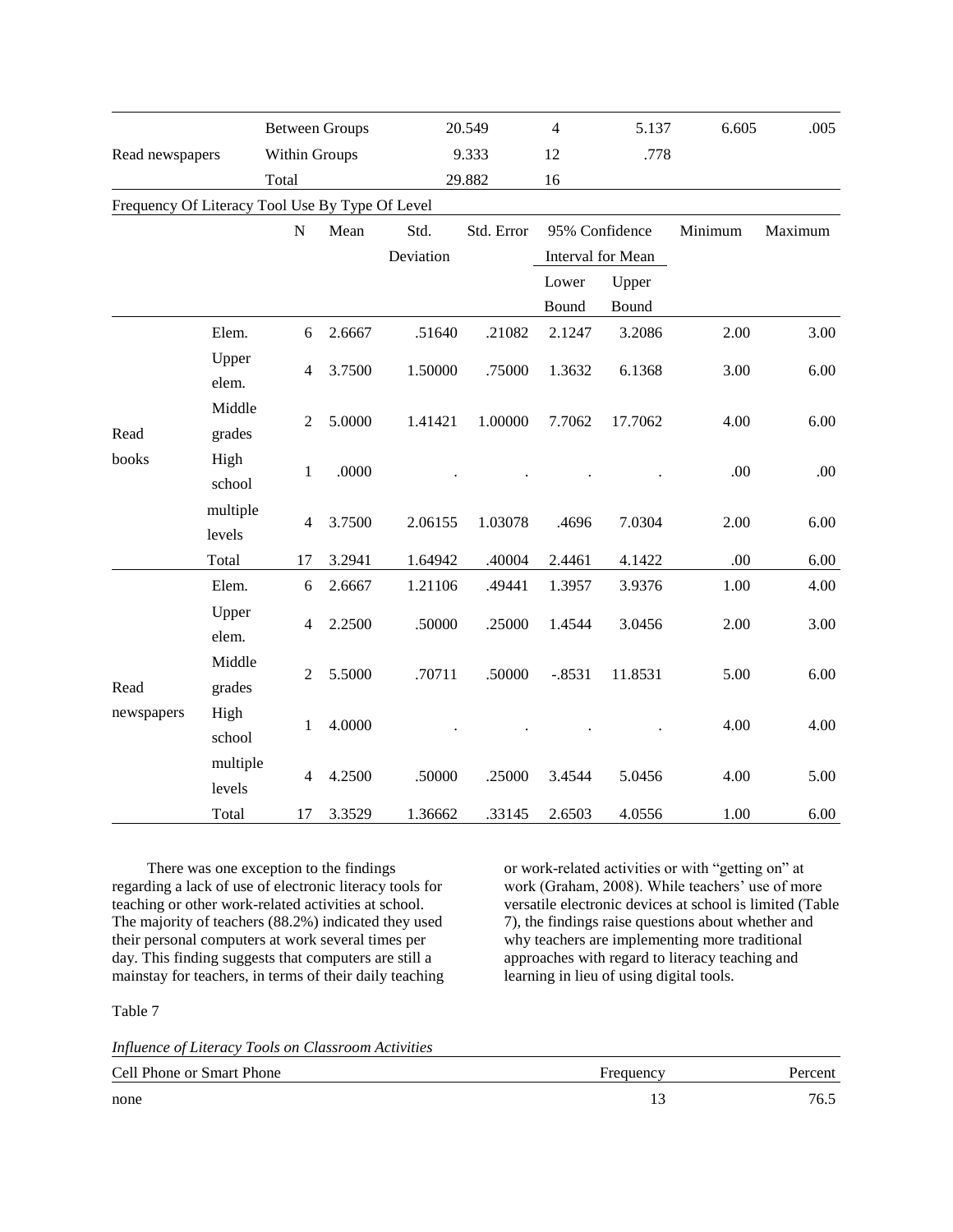|                                                 |                    | <b>Between Groups</b> |        |           | 20.549     | $\overline{4}$    | 5.137          | 6.605   | .005    |
|-------------------------------------------------|--------------------|-----------------------|--------|-----------|------------|-------------------|----------------|---------|---------|
| Read newspapers                                 |                    | Within Groups         |        | 9.333     |            | 12                | .778           |         |         |
|                                                 |                    | Total                 |        | 29.882    |            | 16                |                |         |         |
| Frequency Of Literacy Tool Use By Type Of Level |                    |                       |        |           |            |                   |                |         |         |
|                                                 |                    | ${\bf N}$             | Mean   | Std.      | Std. Error |                   | 95% Confidence | Minimum | Maximum |
|                                                 |                    |                       |        | Deviation |            | Interval for Mean |                |         |         |
|                                                 |                    |                       |        |           |            | Lower             | Upper          |         |         |
|                                                 |                    |                       |        |           |            | Bound             | Bound          |         |         |
|                                                 | Elem.              | 6                     | 2.6667 | .51640    | .21082     | 2.1247            | 3.2086         | 2.00    | 3.00    |
|                                                 | Upper<br>elem.     | $\overline{4}$        | 3.7500 | 1.50000   | .75000     | 1.3632            | 6.1368         | 3.00    | 6.00    |
| Read                                            | Middle<br>grades   | $\overline{2}$        | 5.0000 | 1.41421   | 1.00000    | 7.7062            | 17.7062        | 4.00    | 6.00    |
| books                                           | High<br>school     | $\mathbf{1}$          | .0000  |           |            |                   |                | .00     | .00.    |
|                                                 | multiple<br>levels | 4                     | 3.7500 | 2.06155   | 1.03078    | .4696             | 7.0304         | 2.00    | 6.00    |
|                                                 | Total              | 17                    | 3.2941 | 1.64942   | .40004     | 2.4461            | 4.1422         | .00     | 6.00    |
|                                                 | Elem.              | 6                     | 2.6667 | 1.21106   | .49441     | 1.3957            | 3.9376         | 1.00    | 4.00    |
| Read<br>newspapers                              | Upper<br>elem.     | $\overline{4}$        | 2.2500 | .50000    | .25000     | 1.4544            | 3.0456         | 2.00    | 3.00    |
|                                                 | Middle<br>grades   | $\overline{2}$        | 5.5000 | .70711    | .50000     | $-.8531$          | 11.8531        | 5.00    | 6.00    |
|                                                 | High<br>school     | $\mathbf{1}$          | 4.0000 |           |            |                   |                | 4.00    | 4.00    |
|                                                 | multiple<br>levels | $\overline{4}$        | 4.2500 | .50000    | .25000     | 3.4544            | 5.0456         | 4.00    | 5.00    |
|                                                 | Total              | 17                    | 3.3529 | 1.36662   | .33145     | 2.6503            | 4.0556         | 1.00    | 6.00    |

There was one exception to the findings regarding a lack of use of electronic literacy tools for teaching or other work-related activities at school. The majority of teachers (88.2%) indicated they used their personal computers at work several times per day. This finding suggests that computers are still a mainstay for teachers, in terms of their daily teaching or work-related activities or with "getting on" at work (Graham, 2008). While teachers' use of more versatile electronic devices at school is limited (Table 7), the findings raise questions about whether and why teachers are implementing more traditional approaches with regard to literacy teaching and learning in lieu of using digital tools.

Table 7

*Influence of Literacy Tools on Classroom Activities*

| Cell Phone or Smart Phone | Frequency | Percent |
|---------------------------|-----------|---------|
| none                      | ن 1       | 76.1    |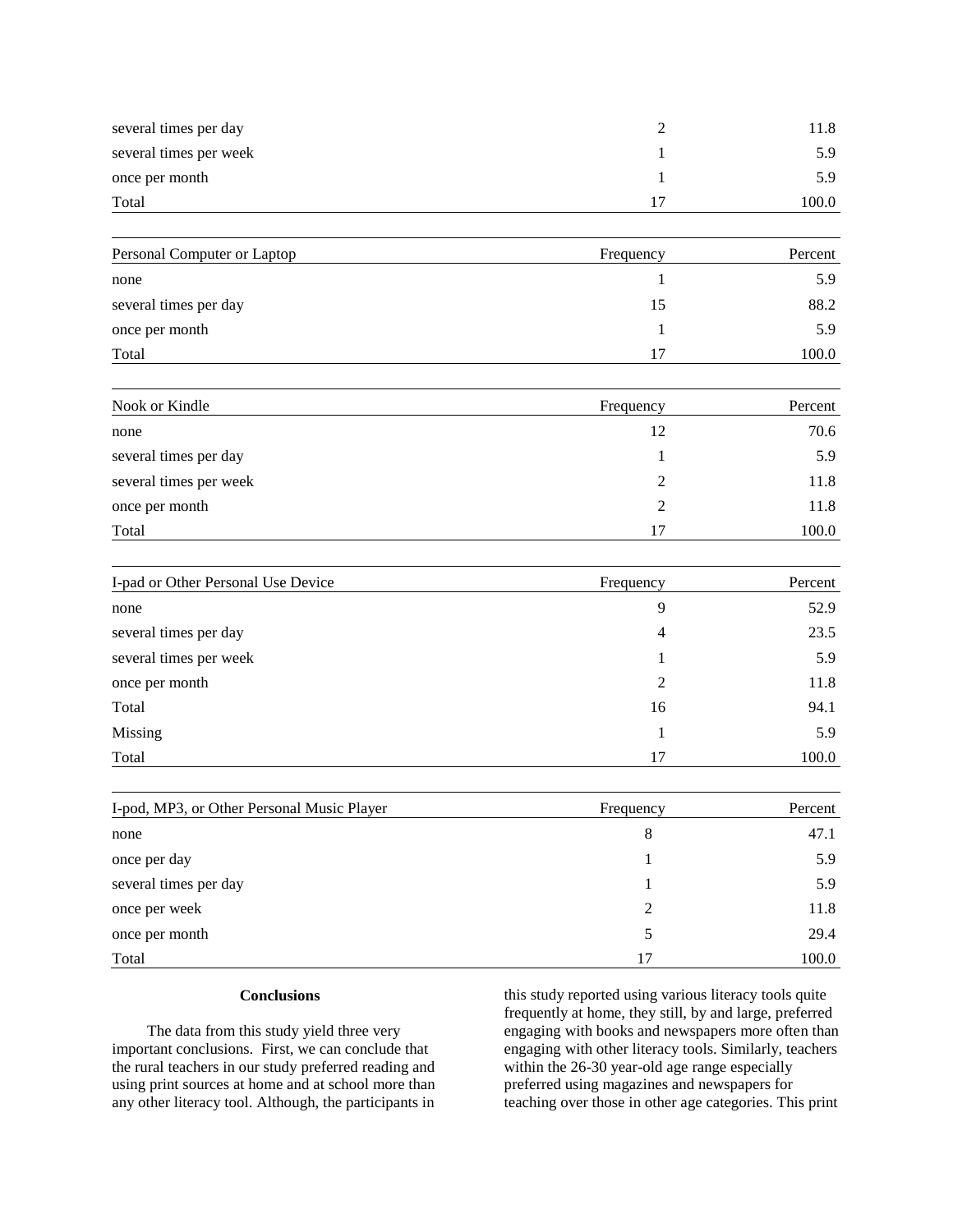| several times per day       | $\overline{c}$ | 11.8    |
|-----------------------------|----------------|---------|
| several times per week      |                | 5.9     |
| once per month              | 1              | 5.9     |
| Total                       | 17             | 100.0   |
| Personal Computer or Laptop | Frequency      | Percent |
| none                        | $\mathbf{I}$   | 5.9     |
| several times per day       | 15             | 88.2    |
| once per month              | 1              | 5.9     |
| Total                       | 17             | 100.0   |
| Nook or Kindle              | Frequency      | Percent |
| none                        | 12             | 70.6    |
| several times per day       | 1              | 5.9     |
| several times per week      | 2              | 11.8    |
| once per month              | $\overline{c}$ | 11.8    |

| I-pad or Other Personal Use Device | Frequency      | Percent |
|------------------------------------|----------------|---------|
| none                               | 9              | 52.9    |
| several times per day              | 4              | 23.5    |
| several times per week             |                | 5.9     |
| once per month                     | $\overline{2}$ | 11.8    |
| Total                              | 16             | 94.1    |
| Missing                            |                | 5.9     |
| Total                              | 17             | 100.0   |

 $\text{Total}$  17 100.0

| I-pod, MP3, or Other Personal Music Player | Frequency | Percent |
|--------------------------------------------|-----------|---------|
| none                                       | 8         | 47.1    |
| once per day                               |           | 5.9     |
| several times per day                      |           | 5.9     |
| once per week                              | ∍         | 11.8    |
| once per month                             |           | 29.4    |
| Total                                      | 17        | 100.0   |

# **Conclusions**

The data from this study yield three very important conclusions. First, we can conclude that the rural teachers in our study preferred reading and using print sources at home and at school more than any other literacy tool. Although, the participants in

this study reported using various literacy tools quite frequently at home, they still, by and large, preferred engaging with books and newspapers more often than engaging with other literacy tools. Similarly, teachers within the 26-30 year-old age range especially preferred using magazines and newspapers for teaching over those in other age categories. This print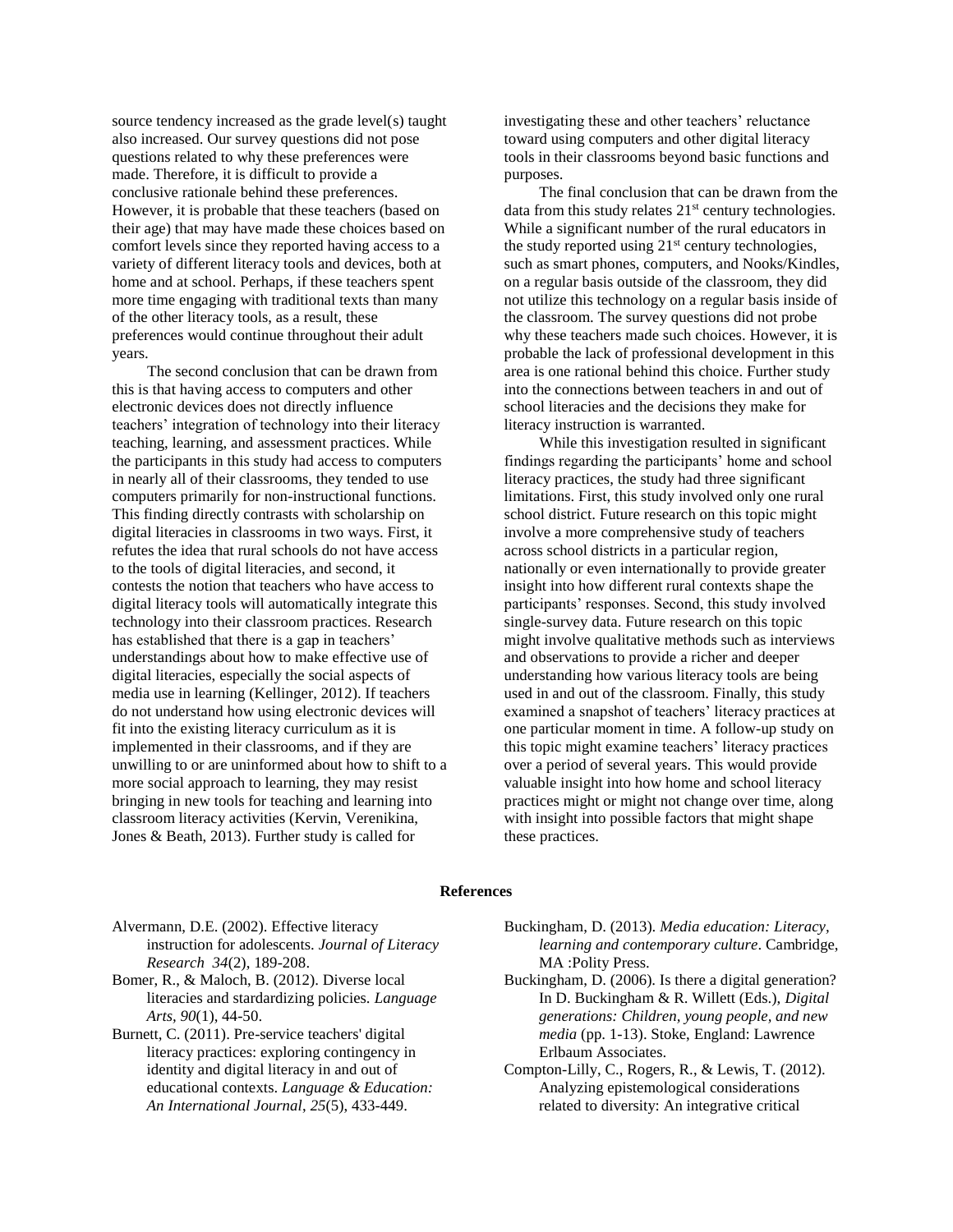source tendency increased as the grade level(s) taught also increased. Our survey questions did not pose questions related to why these preferences were made. Therefore, it is difficult to provide a conclusive rationale behind these preferences. However, it is probable that these teachers (based on their age) that may have made these choices based on comfort levels since they reported having access to a variety of different literacy tools and devices, both at home and at school. Perhaps, if these teachers spent more time engaging with traditional texts than many of the other literacy tools, as a result, these preferences would continue throughout their adult years.

The second conclusion that can be drawn from this is that having access to computers and other electronic devices does not directly influence teachers' integration of technology into their literacy teaching, learning, and assessment practices. While the participants in this study had access to computers in nearly all of their classrooms, they tended to use computers primarily for non-instructional functions. This finding directly contrasts with scholarship on digital literacies in classrooms in two ways. First, it refutes the idea that rural schools do not have access to the tools of digital literacies, and second, it contests the notion that teachers who have access to digital literacy tools will automatically integrate this technology into their classroom practices. Research has established that there is a gap in teachers' understandings about how to make effective use of digital literacies, especially the social aspects of media use in learning (Kellinger, 2012). If teachers do not understand how using electronic devices will fit into the existing literacy curriculum as it is implemented in their classrooms, and if they are unwilling to or are uninformed about how to shift to a more social approach to learning, they may resist bringing in new tools for teaching and learning into classroom literacy activities (Kervin, Verenikina, Jones & Beath, 2013). Further study is called for

investigating these and other teachers' reluctance toward using computers and other digital literacy tools in their classrooms beyond basic functions and purposes.

The final conclusion that can be drawn from the data from this study relates  $21<sup>st</sup>$  century technologies. While a significant number of the rural educators in the study reported using  $21<sup>st</sup>$  century technologies, such as smart phones, computers, and Nooks/Kindles, on a regular basis outside of the classroom, they did not utilize this technology on a regular basis inside of the classroom. The survey questions did not probe why these teachers made such choices. However, it is probable the lack of professional development in this area is one rational behind this choice. Further study into the connections between teachers in and out of school literacies and the decisions they make for literacy instruction is warranted.

While this investigation resulted in significant findings regarding the participants' home and school literacy practices, the study had three significant limitations. First, this study involved only one rural school district. Future research on this topic might involve a more comprehensive study of teachers across school districts in a particular region, nationally or even internationally to provide greater insight into how different rural contexts shape the participants' responses. Second, this study involved single-survey data. Future research on this topic might involve qualitative methods such as interviews and observations to provide a richer and deeper understanding how various literacy tools are being used in and out of the classroom. Finally, this study examined a snapshot of teachers' literacy practices at one particular moment in time. A follow-up study on this topic might examine teachers' literacy practices over a period of several years. This would provide valuable insight into how home and school literacy practices might or might not change over time, along with insight into possible factors that might shape these practices.

#### **References**

Alvermann, D.E. (2002). Effective literacy instruction for adolescents. *Journal of Literacy Research 34*(2), 189-208.

- Bomer, R., & Maloch, B. (2012). Diverse local literacies and stardardizing policies. *Language Arts, 90*(1), 44-50.
- Burnett, C. (2011). Pre-service teachers' digital literacy practices: exploring contingency in identity and digital literacy in and out of educational contexts. *Language & Education: An International Journal*, *25*(5), 433-449.
- Buckingham, D. (2013). *Media education: Literacy, learning and contemporary culture*. Cambridge, MA :Polity Press.
- Buckingham, D. (2006). Is there a digital generation? In D. Buckingham & R. Willett (Eds.), *Digital generations: Children, young people, and new media* (pp. 1-13). Stoke, England: Lawrence Erlbaum Associates.
- Compton-Lilly, C., Rogers, R., & Lewis, T. (2012). Analyzing epistemological considerations related to diversity: An integrative critical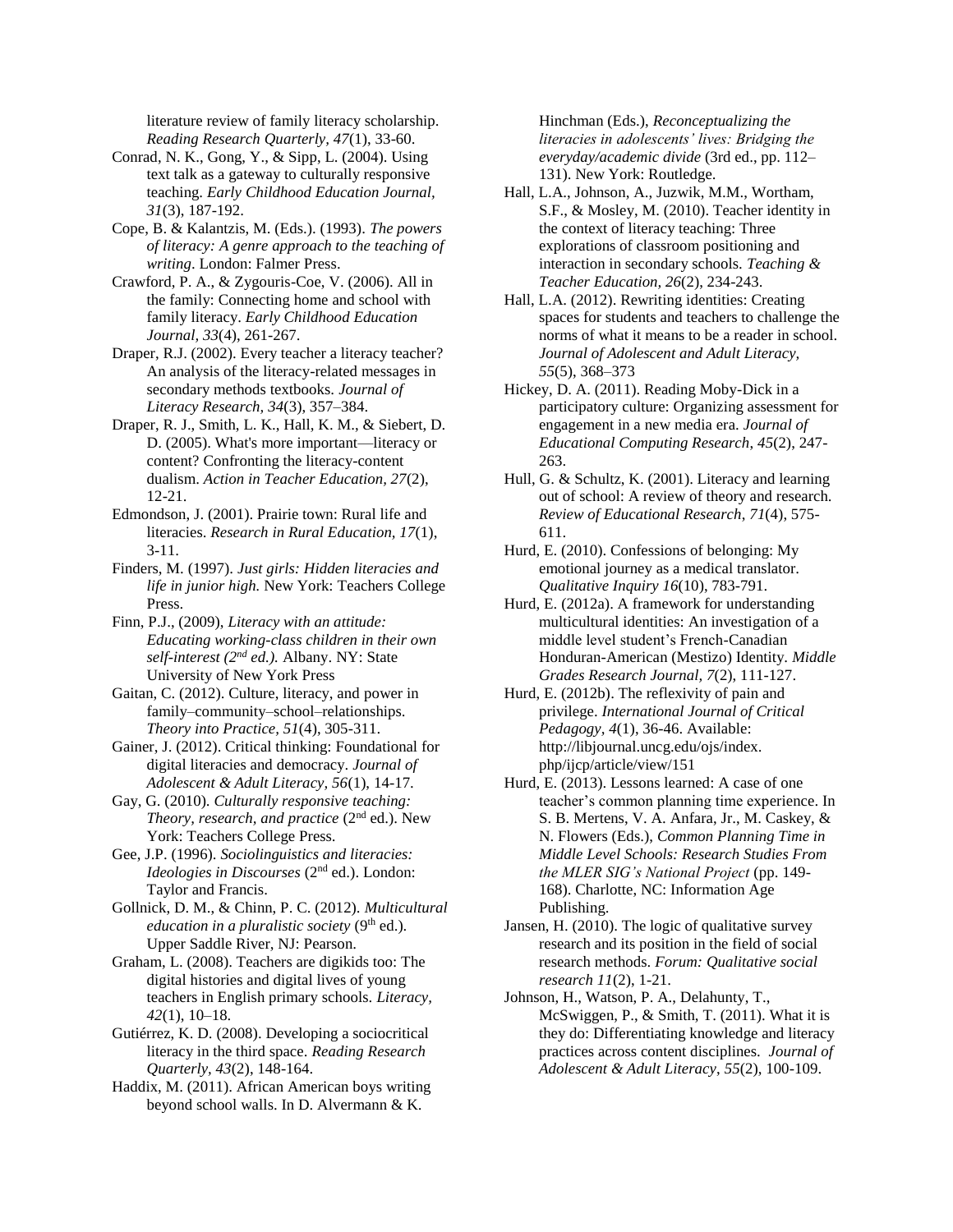literature review of family literacy scholarship. *Reading Research Quarterly, 47*(1), 33-60.

- Conrad, N. K., Gong, Y., & Sipp, L. (2004). Using text talk as a gateway to culturally responsive teaching. *Early Childhood Education Journal, 31*(3), 187-192.
- Cope, B. & Kalantzis, M. (Eds.). (1993). *The powers of literacy: A genre approach to the teaching of writing*. London: Falmer Press.
- Crawford, P. A., & Zygouris-Coe, V. (2006). All in the family: Connecting home and school with family literacy. *Early Childhood Education Journal, 33*(4), 261-267.
- Draper, R.J. (2002). Every teacher a literacy teacher? An analysis of the literacy-related messages in secondary methods textbooks. *Journal of Literacy Research, 34*(3), 357–384.
- Draper, R. J., Smith, L. K., Hall, K. M., & Siebert, D. D. (2005). What's more important—literacy or content? Confronting the literacy-content dualism. *Action in Teacher Education, 27*(2), 12-21.
- Edmondson, J. (2001). Prairie town: Rural life and literacies. *Research in Rural Education, 17*(1), 3-11.
- Finders, M. (1997). *Just girls: Hidden literacies and life in junior high.* New York: Teachers College Press.
- Finn, P.J., (2009), *Literacy with an attitude: Educating working-class children in their own self-interest (2nd ed.).* Albany. NY: State University of New York Press
- Gaitan, C. (2012). Culture, literacy, and power in family–community–school–relationships. *Theory into Practice, 51*(4), 305-311.
- Gainer, J. (2012). Critical thinking: Foundational for digital literacies and democracy. *Journal of Adolescent & Adult Literacy, 56*(1), 14-17.
- Gay, G. (2010). *Culturally responsive teaching: Theory, research, and practice* (2nd ed.). New York: Teachers College Press.
- Gee, J.P. (1996). *Sociolinguistics and literacies: Ideologies in Discourses* (2nd ed.). London: Taylor and Francis.
- Gollnick, D. M., & Chinn, P. C. (2012). *Multicultural education in a pluralistic society* (9<sup>th</sup> ed.). Upper Saddle River, NJ: Pearson.
- Graham, L. (2008). Teachers are digikids too: The digital histories and digital lives of young teachers in English primary schools. *Literacy, 42*(1), 10–18.
- Gutiérrez, K. D. (2008). Developing a sociocritical literacy in the third space. *Reading Research Quarterly, 43*(2), 148-164.
- Haddix, M. (2011). African American boys writing beyond school walls. In D. Alvermann & K.

Hinchman (Eds.), *Reconceptualizing the literacies in adolescents' lives: Bridging the everyday/academic divide* (3rd ed., pp. 112– 131). New York: Routledge.

- Hall, L.A., Johnson, A., Juzwik, M.M., Wortham, S.F., & Mosley, M. (2010). Teacher identity in the context of literacy teaching: Three explorations of classroom positioning and interaction in secondary schools. *Teaching & Teacher Education, 26*(2), 234-243.
- Hall, L.A. (2012). Rewriting identities: Creating spaces for students and teachers to challenge the norms of what it means to be a reader in school. *Journal of Adolescent and Adult Literacy, 55*(5), 368–373
- Hickey, D. A. (2011). Reading Moby-Dick in a participatory culture: Organizing assessment for engagement in a new media era. *Journal of Educational Computing Research*, *45*(2), 247- 263.
- Hull, G. & Schultz, K. (2001). Literacy and learning out of school: A review of theory and research. *Review of Educational Research*, *71*(4), 575- 611.
- Hurd, E. (2010). Confessions of belonging: My emotional journey as a medical translator. *Qualitative Inquiry 16*(10), 783-791.
- Hurd, E. (2012a). A framework for understanding multicultural identities: An investigation of a middle level student's French-Canadian Honduran-American (Mestizo) Identity. *Middle Grades Research Journal, 7*(2), 111-127.
- Hurd, E. (2012b). The reflexivity of pain and privilege. *International Journal of Critical Pedagogy, 4*(1), 36-46. Available: http://libjournal.uncg.edu/ojs/index. php/ijcp/article/view/151
- Hurd, E. (2013). Lessons learned: A case of one teacher's common planning time experience. In S. B. Mertens, V. A. Anfara, Jr., M. Caskey, & N. Flowers (Eds.), *Common Planning Time in Middle Level Schools: Research Studies From the MLER SIG's National Project* (pp. 149- 168). Charlotte, NC: Information Age Publishing.
- Jansen, H. (2010). The logic of qualitative survey research and its position in the field of social research methods. *Forum: Qualitative social research 11*(2), 1-21.
- Johnson, H., Watson, P. A., Delahunty, T., McSwiggen, P., & Smith, T. (2011). What it is they do: Differentiating knowledge and literacy practices across content disciplines. *Journal of Adolescent & Adult Literacy*, *55*(2), 100-109.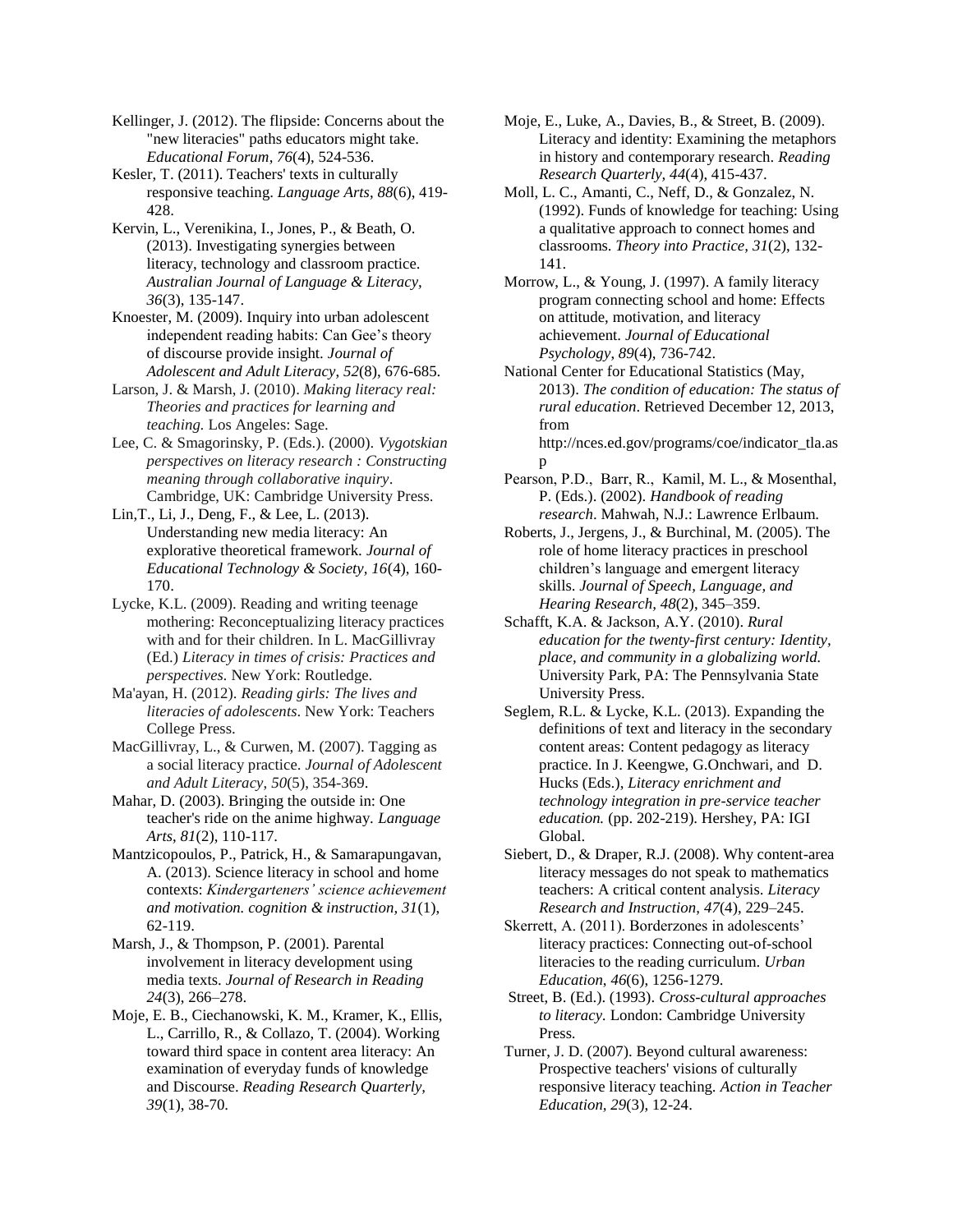Kellinger, J. (2012). The flipside: Concerns about the "new literacies" paths educators might take. *Educational Forum*, *76*(4), 524-536.

Kesler, T. (2011). Teachers' texts in culturally responsive teaching. *Language Arts*, *88*(6), 419- 428.

Kervin, L., Verenikina, I., Jones, P., & Beath, O. (2013). Investigating synergies between literacy, technology and classroom practice. *Australian Journal of Language & Literacy, 36*(3), 135-147.

Knoester, M. (2009). Inquiry into urban adolescent independent reading habits: Can Gee's theory of discourse provide insight. *Journal of Adolescent and Adult Literacy*, *52*(8), 676-685.

Larson, J. & Marsh, J. (2010). *Making literacy real: Theories and practices for learning and teaching.* Los Angeles: Sage.

Lee, C. & Smagorinsky, P. (Eds.). (2000). *Vygotskian perspectives on literacy research : Constructing meaning through collaborative inquiry*. Cambridge, UK: Cambridge University Press.

Lin,T., Li, J., Deng, F., & Lee, L. (2013). Understanding new media literacy: An explorative theoretical framework. *Journal of Educational Technology & Society, 16*(4), 160- 170.

Lycke, K.L. (2009). Reading and writing teenage mothering: Reconceptualizing literacy practices with and for their children. In L. MacGillivray (Ed.) *Literacy in times of crisis: Practices and perspectives.* New York: Routledge.

Ma'ayan, H. (2012). *Reading girls: The lives and literacies of adolescents*. New York: Teachers College Press.

MacGillivray, L., & Curwen, M. (2007). Tagging as a social literacy practice. *Journal of Adolescent and Adult Literacy*, *50*(5), 354-369.

Mahar, D. (2003). Bringing the outside in: One teacher's ride on the anime highway. *Language Arts*, *81*(2), 110-117.

Mantzicopoulos, P., Patrick, H., & Samarapungavan, A. (2013). Science literacy in school and home contexts: *Kindergarteners' science achievement and motivation. cognition & instruction, 31*(1), 62-119.

Marsh, J., & Thompson, P. (2001). Parental involvement in literacy development using media texts. *Journal of Research in Reading 24*(3), 266–278.

Moje, E. B., Ciechanowski, K. M., Kramer, K., Ellis, L., Carrillo, R., & Collazo, T. (2004). Working toward third space in content area literacy: An examination of everyday funds of knowledge and Discourse. *Reading Research Quarterly, 39*(1), 38-70.

Moje, E., Luke, A., Davies, B., & Street, B. (2009). Literacy and identity: Examining the metaphors in history and contemporary research. *Reading Research Quarterly, 44*(4), 415-437.

Moll, L. C., Amanti, C., Neff, D., & Gonzalez, N. (1992). Funds of knowledge for teaching: Using a qualitative approach to connect homes and classrooms. *Theory into Practice, 31*(2), 132- 141.

Morrow, L., & Young, J. (1997). A family literacy program connecting school and home: Effects on attitude, motivation, and literacy achievement. *Journal of Educational Psychology*, *89*(4)*,* 736-742.

National Center for Educational Statistics (May, 2013). *The condition of education: The status of rural education*. Retrieved December 12, 2013, from http://nces.ed.gov/programs/coe/indicator\_tla.as

p Pearson, P.D., Barr, R., Kamil, M. L., & Mosenthal, P. (Eds.). (2002). *Handbook of reading research*. Mahwah, N.J.: Lawrence Erlbaum.

Roberts, J., Jergens, J., & Burchinal, M. (2005). The role of home literacy practices in preschool children's language and emergent literacy skills. *Journal of Speech, Language, and Hearing Research, 48*(2), 345–359.

Schafft, K.A. & Jackson, A.Y. (2010). *Rural education for the twenty-first century: Identity, place, and community in a globalizing world.* University Park, PA: The Pennsylvania State University Press.

Seglem, R.L. & Lycke, K.L. (2013). Expanding the definitions of text and literacy in the secondary content areas: Content pedagogy as literacy practice. In J. Keengwe, G.Onchwari, and D. Hucks (Eds.), *Literacy enrichment and technology integration in pre-service teacher education.* (pp. 202-219). Hershey, PA: IGI Global.

Siebert, D., & Draper, R.J. (2008). Why content-area literacy messages do not speak to mathematics teachers: A critical content analysis. *Literacy Research and Instruction, 47*(4), 229–245.

Skerrett, A. (2011). Borderzones in adolescents' literacy practices: Connecting out-of-school literacies to the reading curriculum. *Urban Education*, *46*(6), 1256-1279.

Street, B. (Ed.). (1993). *Cross-cultural approaches to literacy.* London: Cambridge University Press.

Turner, J. D. (2007). Beyond cultural awareness: Prospective teachers' visions of culturally responsive literacy teaching. *Action in Teacher Education, 29*(3), 12-24.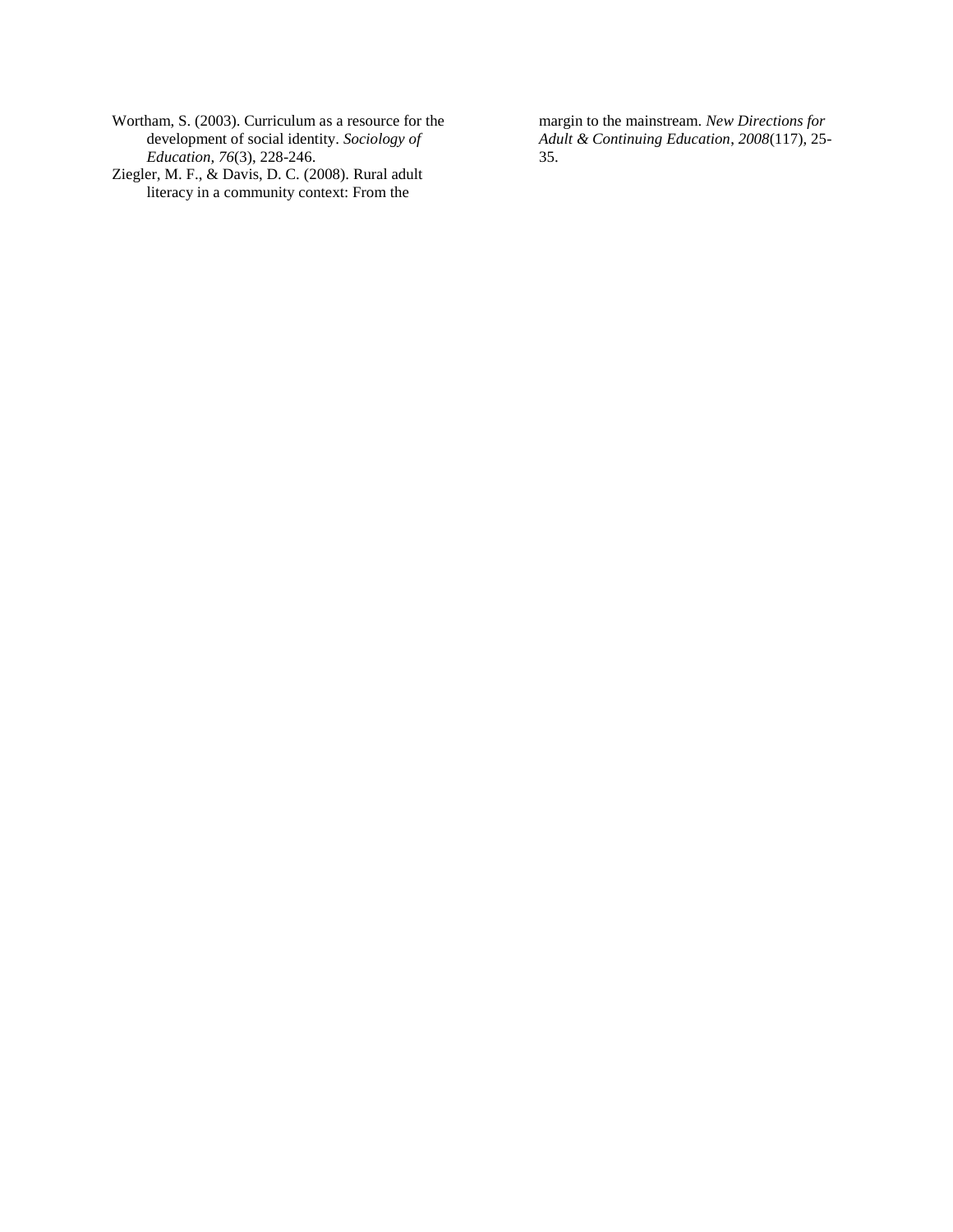- Wortham, S. (2003). Curriculum as a resource for the development of social identity. *Sociology of Education, 76*(3), 228-246.
- Ziegler, M. F., & Davis, D. C. (2008). Rural adult literacy in a community context: From the

margin to the mainstream. *New Directions for Adult & Continuing Education*, *2008*(117), 25- 35.